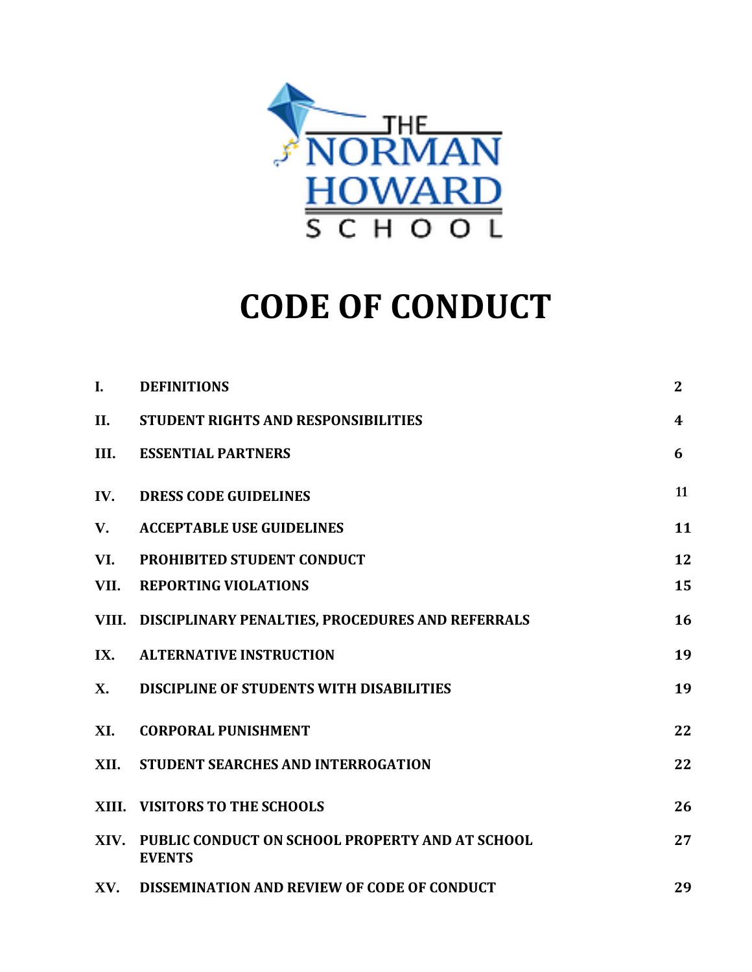

# **CODE OF CONDUCT**

| I.          | <b>DEFINITIONS</b>                                                    | $\mathbf{2}$     |
|-------------|-----------------------------------------------------------------------|------------------|
| II.         | <b>STUDENT RIGHTS AND RESPONSIBILITIES</b>                            | $\boldsymbol{4}$ |
| III.        | <b>ESSENTIAL PARTNERS</b>                                             | 6                |
| IV.         | <b>DRESS CODE GUIDELINES</b>                                          | 11               |
| $V_{\cdot}$ | <b>ACCEPTABLE USE GUIDELINES</b>                                      | 11               |
| VI.         | PROHIBITED STUDENT CONDUCT                                            | 12               |
| VII.        | <b>REPORTING VIOLATIONS</b>                                           | 15               |
|             | VIII. DISCIPLINARY PENALTIES, PROCEDURES AND REFERRALS                | 16               |
| IX.         | <b>ALTERNATIVE INSTRUCTION</b>                                        | 19               |
| X.          | <b>DISCIPLINE OF STUDENTS WITH DISABILITIES</b>                       | 19               |
| XI.         | <b>CORPORAL PUNISHMENT</b>                                            | 22               |
| XII.        | STUDENT SEARCHES AND INTERROGATION                                    | 22               |
|             | XIII. VISITORS TO THE SCHOOLS                                         | 26               |
|             | XIV. PUBLIC CONDUCT ON SCHOOL PROPERTY AND AT SCHOOL<br><b>EVENTS</b> | 27               |
|             | XV. DISSEMINATION AND REVIEW OF CODE OF CONDUCT                       | 29               |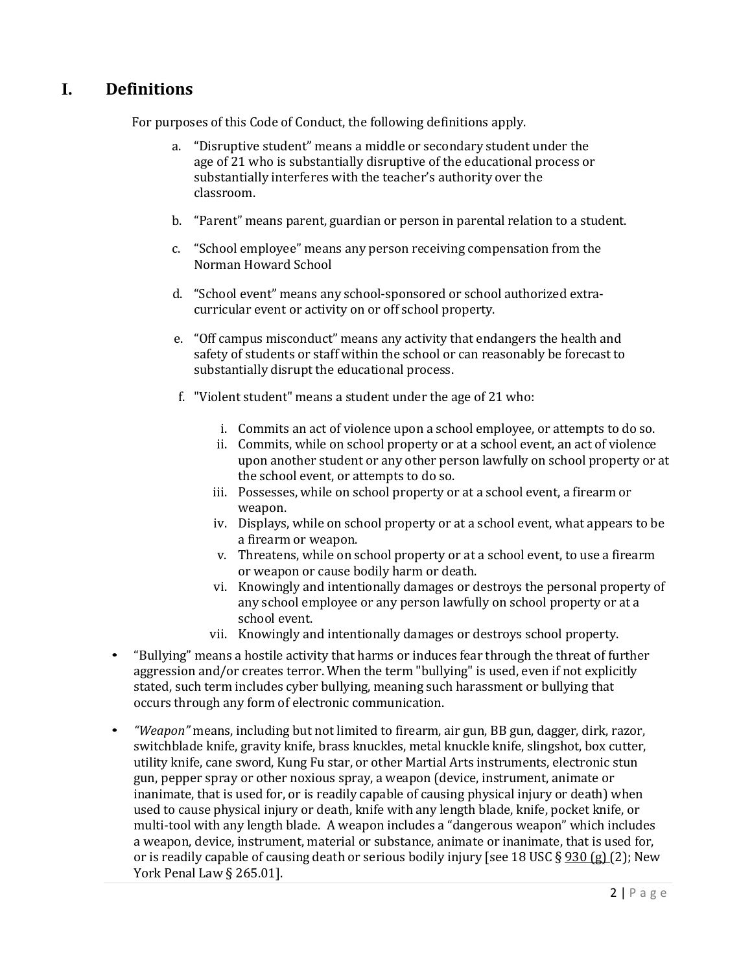# **I. Definitions**

For purposes of this Code of Conduct, the following definitions apply.

- a. "Disruptive student" means a middle or secondary student under the age of 21 who is substantially disruptive of the educational process or substantially interferes with the teacher's authority over the classroom.
- b. "Parent" means parent, guardian or person in parental relation to a student.
- c. "School employee" means any person receiving compensation from the Norman Howard School
- d. "School event" means any school-sponsored or school authorized extracurricular event or activity on or off school property.
- e. "Off campus misconduct" means any activity that endangers the health and safety of students or staff within the school or can reasonably be forecast to substantially disrupt the educational process.
- f. "Violent student" means a student under the age of 21 who:
	- i. Commits an act of violence upon a school employee, or attempts to do so.
	- ii. Commits, while on school property or at a school event, an act of violence upon another student or any other person lawfully on school property or at the school event, or attempts to do so.
	- iii. Possesses, while on school property or at a school event, a firearm or weapon.
	- iv. Displays, while on school property or at a school event, what appears to be a firearm or weapon.
	- v. Threatens, while on school property or at a school event, to use a firearm or weapon or cause bodily harm or death.
	- vi. Knowingly and intentionally damages or destroys the personal property of any school employee or any person lawfully on school property or at a school event.
	- vii. Knowingly and intentionally damages or destroys school property.
- "Bullying" means a hostile activity that harms or induces fear through the threat of further aggression and/or creates terror. When the term "bullying" is used, even if not explicitly stated, such term includes cyber bullying, meaning such harassment or bullying that occurs through any form of electronic communication.
- *"Weapon"* means, including but not limited to firearm, air gun, BB gun, dagger, dirk, razor, switchblade knife, gravity knife, brass knuckles, metal knuckle knife, slingshot, box cutter, utility knife, cane sword, Kung Fu star, or other Martial Arts instruments, electronic stun gun, pepper spray or other noxious spray, a weapon (device, instrument, animate or inanimate, that is used for, or is readily capable of causing physical injury or death) when used to cause physical injury or death, knife with any length blade, knife, pocket knife, or multi-tool with any length blade. A weapon includes a "dangerous weapon" which includes a weapon, device, instrument, material or substance, animate or inanimate, that is used for, or is readily capable of causing death or serious bodily injury [see 18 USC  $\S$  930 (g) (2); New York Penal Law § 265.01].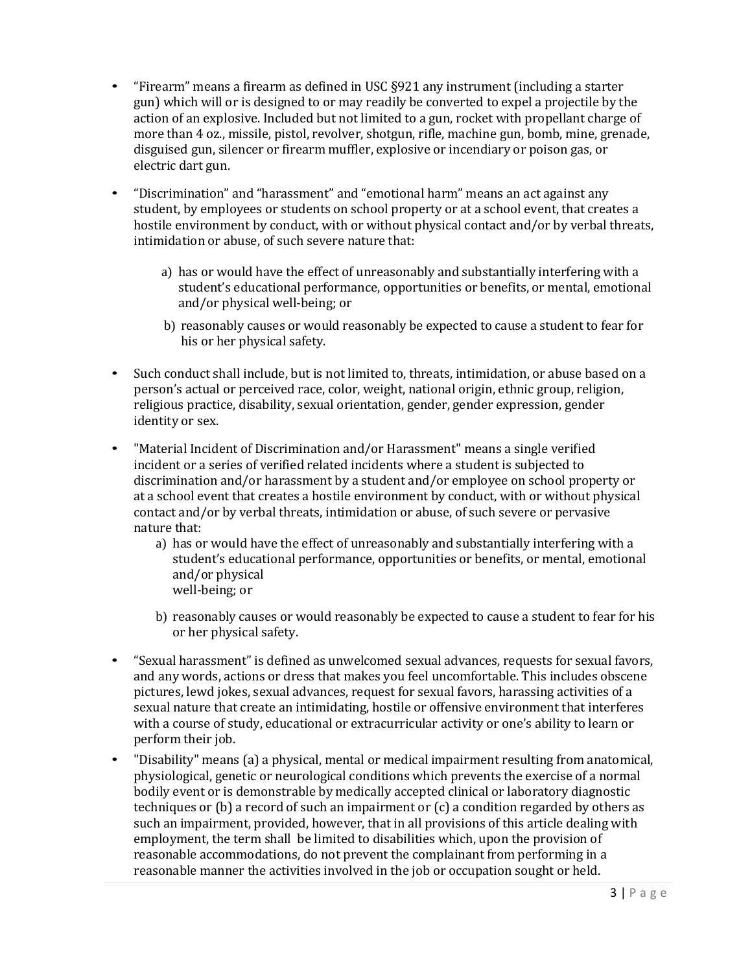- "Firearm" means a firearm as defined in USC §921 any instrument (including a starter gun) which will or is designed to or may readily be converted to expel a projectile by the action of an explosive. Included but not limited to a gun, rocket with propellant charge of more than 4 oz., missile, pistol, revolver, shotgun, rifle, machine gun, bomb, mine, grenade, disguised gun, silencer or firearm muffler, explosive or incendiary or poison gas, or electric dart gun.
- "Discrimination" and "harassment" and "emotional harm" means an act against any student, by employees or students on school property or at a school event, that creates a hostile environment by conduct, with or without physical contact and/or by verbal threats, intimidation or abuse, of such severe nature that:
	- a) has or would have the effect of unreasonably and substantially interfering with a student's educational performance, opportunities or benefits, or mental, emotional and/or physical well-being; or
	- b) reasonably causes or would reasonably be expected to cause a student to fear for his or her physical safety.
- Such conduct shall include, but is not limited to, threats, intimidation, or abuse based on a person's actual or perceived race, color, weight, national origin, ethnic group, religion, religious practice, disability, sexual orientation, gender, gender expression, gender identity or sex.
- "Material Incident of Discrimination and/or Harassment" means a single verified incident or a series of verified related incidents where a student is subjected to discrimination and/or harassment by a student and/or employee on school property or at a school event that creates a hostile environment by conduct, with or without physical contact and/or by verbal threats, intimidation or abuse, of such severe or pervasive nature that:
	- a) has or would have the effect of unreasonably and substantially interfering with a student's educational performance, opportunities or benefits, or mental, emotional and/or physical well-being; or
	- b) reasonably causes or would reasonably be expected to cause a student to fear for his or her physical safety.
- "Sexual harassment" is defined as unwelcomed sexual advances, requests for sexual favors, and any words, actions or dress that makes you feel uncomfortable. This includes obscene pictures, lewd jokes, sexual advances, request for sexual favors, harassing activities of a sexual nature that create an intimidating, hostile or offensive environment that interferes with a course of study, educational or extracurricular activity or one's ability to learn or perform their job.
- "Disability" means (a) a physical, mental or medical impairment resulting from anatomical, physiological, genetic or neurological conditions which prevents the exercise of a normal bodily event or is demonstrable by medically accepted clinical or laboratory diagnostic techniques or (b) a record of such an impairment or (c) a condition regarded by others as such an impairment, provided, however, that in all provisions of this article dealing with employment, the term shall be limited to disabilities which, upon the provision of reasonable accommodations, do not prevent the complainant from performing in a reasonable manner the activities involved in the job or occupation sought or held.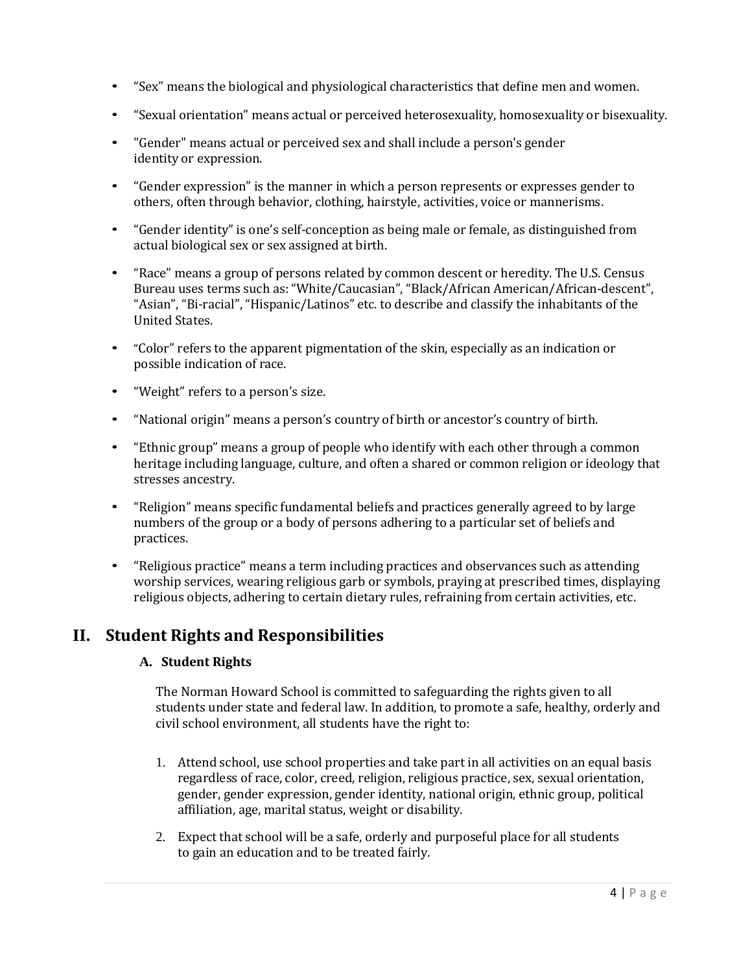- "Sex" means the biological and physiological characteristics that define men and women.
- "Sexual orientation" means actual or perceived heterosexuality, homosexuality or bisexuality.
- "Gender" means actual or perceived sex and shall include a person's gender identity or expression.
- "Gender expression" is the manner in which a person represents or expresses gender to others, often through behavior, clothing, hairstyle, activities, voice or mannerisms.
- "Gender identity" is one's self-conception as being male or female, as distinguished from actual biological sex or sex assigned at birth.
- "Race" means a group of persons related by common descent or heredity. The U.S. Census Bureau uses terms such as: "White/Caucasian", "Black/African American/African-descent", "Asian", "Bi-racial", "Hispanic/Latinos" etc. to describe and classify the inhabitants of the United States.
- "Color" refers to the apparent pigmentation of the skin, especially as an indication or possible indication of race.
- "Weight" refers to a person's size.
- "National origin" means a person's country of birth or ancestor's country of birth.
- "Ethnic group" means a group of people who identify with each other through a common heritage including language, culture, and often a shared or common religion or ideology that stresses ancestry.
- "Religion" means specific fundamental beliefs and practices generally agreed to by large numbers of the group or a body of persons adhering to a particular set of beliefs and practices.
- "Religious practice" means a term including practices and observances such as attending worship services, wearing religious garb or symbols, praying at prescribed times, displaying religious objects, adhering to certain dietary rules, refraining from certain activities, etc.

## **II. Student Rights and Responsibilities**

### **A. Student Rights**

The Norman Howard School is committed to safeguarding the rights given to all students under state and federal law. In addition, to promote a safe, healthy, orderly and civil school environment, all students have the right to:

- 1. Attend school, use school properties and take part in all activities on an equal basis regardless of race, color, creed, religion, religious practice, sex, sexual orientation, gender, gender expression, gender identity, national origin, ethnic group, political affiliation, age, marital status, weight or disability.
- 2. Expect that school will be a safe, orderly and purposeful place for all students to gain an education and to be treated fairly.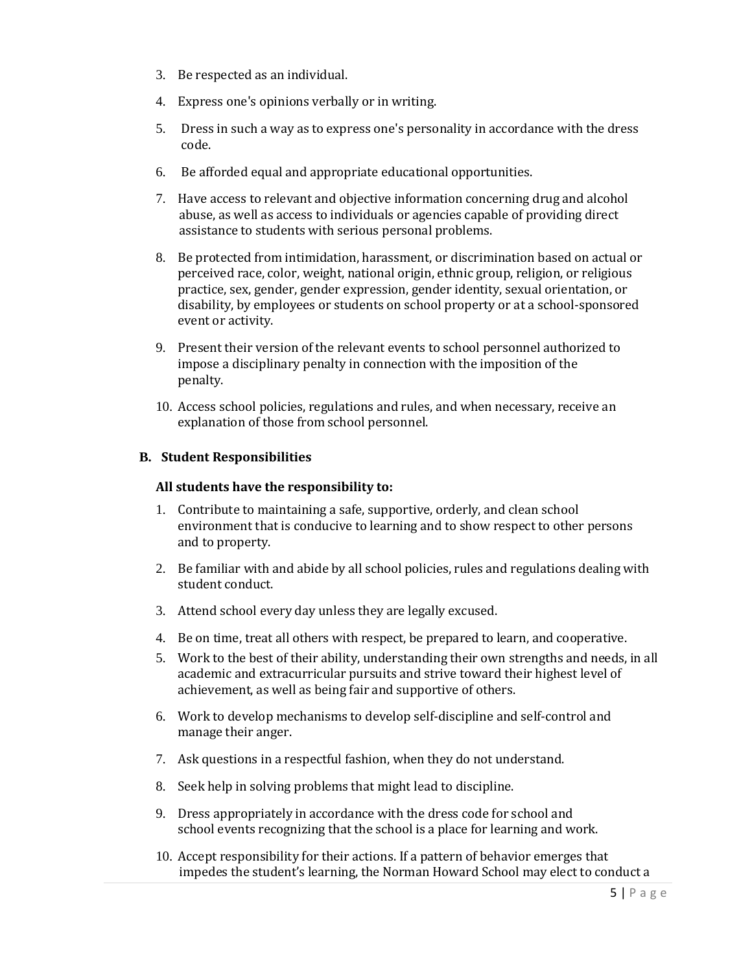- 3. Be respected as an individual.
- 4. Express one's opinions verbally or in writing.
- 5. Dress in such a way as to express one's personality in accordance with the dress code.
- 6. Be afforded equal and appropriate educational opportunities.
- 7. Have access to relevant and objective information concerning drug and alcohol abuse, as well as access to individuals or agencies capable of providing direct assistance to students with serious personal problems.
- 8. Be protected from intimidation, harassment, or discrimination based on actual or perceived race, color, weight, national origin, ethnic group, religion, or religious practice, sex, gender, gender expression, gender identity, sexual orientation, or disability, by employees or students on school property or at a school-sponsored event or activity.
- 9. Present their version of the relevant events to school personnel authorized to impose a disciplinary penalty in connection with the imposition of the penalty.
- 10. Access school policies, regulations and rules, and when necessary, receive an explanation of those from school personnel.

### **B. Student Responsibilities**

#### **All students have the responsibility to:**

- 1. Contribute to maintaining a safe, supportive, orderly, and clean school environment that is conducive to learning and to show respect to other persons and to property.
- 2. Be familiar with and abide by all school policies, rules and regulations dealing with student conduct.
- 3. Attend school every day unless they are legally excused.
- 4. Be on time, treat all others with respect, be prepared to learn, and cooperative.
- 5. Work to the best of their ability, understanding their own strengths and needs, in all academic and extracurricular pursuits and strive toward their highest level of achievement, as well as being fair and supportive of others.
- 6. Work to develop mechanisms to develop self-discipline and self-control and manage their anger.
- 7. Ask questions in a respectful fashion, when they do not understand.
- 8. Seek help in solving problems that might lead to discipline.
- 9. Dress appropriately in accordance with the dress code for school and school events recognizing that the school is a place for learning and work.
- 10. Accept responsibility for their actions. If a pattern of behavior emerges that impedes the student's learning, the Norman Howard School may elect to conduct a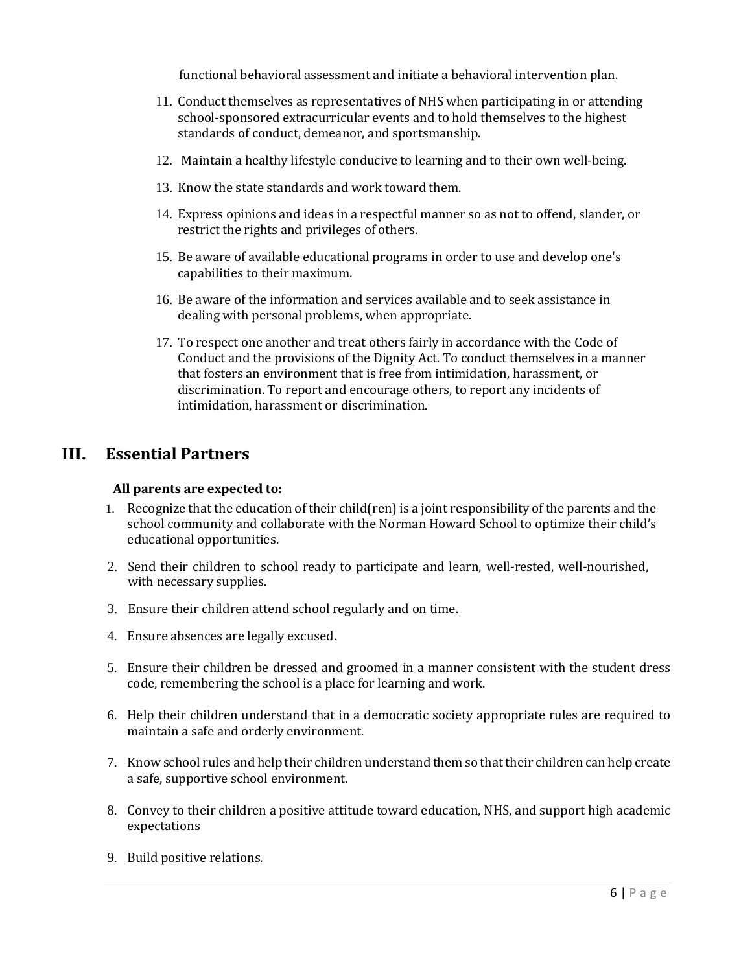functional behavioral assessment and initiate a behavioral intervention plan.

- 11. Conduct themselves as representatives of NHS when participating in or attending school-sponsored extracurricular events and to hold themselves to the highest standards of conduct, demeanor, and sportsmanship.
- 12. Maintain a healthy lifestyle conducive to learning and to their own well-being.
- 13. Know the state standards and work toward them.
- 14. Express opinions and ideas in a respectful manner so as not to offend, slander, or restrict the rights and privileges of others.
- 15. Be aware of available educational programs in order to use and develop one's capabilities to their maximum.
- 16. Be aware of the information and services available and to seek assistance in dealing with personal problems, when appropriate.
- 17. To respect one another and treat others fairly in accordance with the Code of Conduct and the provisions of the Dignity Act. To conduct themselves in a manner that fosters an environment that is free from intimidation, harassment, or discrimination. To report and encourage others, to report any incidents of intimidation, harassment or discrimination.

### **III. Essential Partners**

#### **All parents are expected to:**

- 1. Recognize that the education of their child(ren) is a joint responsibility of the parents and the school community and collaborate with the Norman Howard School to optimize their child's educational opportunities.
- 2. Send their children to school ready to participate and learn, well-rested, well-nourished, with necessary supplies.
- 3. Ensure their children attend school regularly and on time.
- 4. Ensure absences are legally excused.
- 5. Ensure their children be dressed and groomed in a manner consistent with the student dress code, remembering the school is a place for learning and work.
- 6. Help their children understand that in a democratic society appropriate rules are required to maintain a safe and orderly environment.
- 7. Know school rules and help their children understand them so that their children can help create a safe, supportive school environment.
- 8. Convey to their children a positive attitude toward education, NHS, and support high academic expectations
- 9. Build positive relations.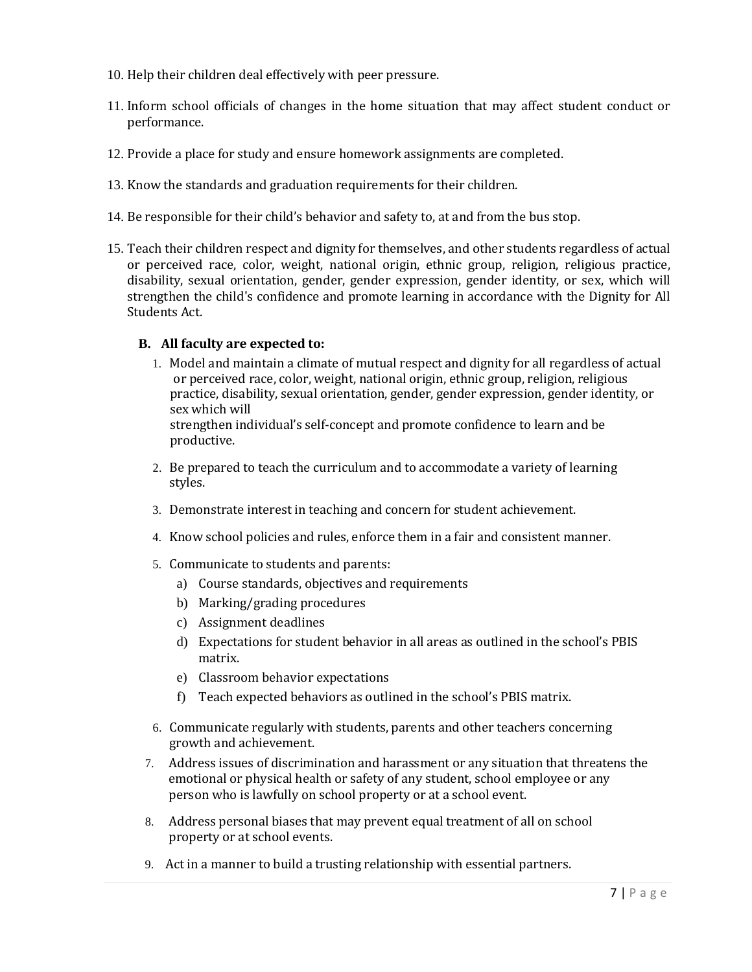- 10. Help their children deal effectively with peer pressure.
- 11. Inform school officials of changes in the home situation that may affect student conduct or performance.
- 12. Provide a place for study and ensure homework assignments are completed.
- 13. Know the standards and graduation requirements for their children.
- 14. Be responsible for their child's behavior and safety to, at and from the bus stop.
- 15. Teach their children respect and dignity for themselves, and other students regardless of actual or perceived race, color, weight, national origin, ethnic group, religion, religious practice, disability, sexual orientation, gender, gender expression, gender identity, or sex, which will strengthen the child's confidence and promote learning in accordance with the Dignity for All Students Act.

#### **B. All faculty are expected to:**

- 1. Model and maintain a climate of mutual respect and dignity for all regardless of actual or perceived race, color, weight, national origin, ethnic group, religion, religious practice, disability, sexual orientation, gender, gender expression, gender identity, or sex which will strengthen individual's self-concept and promote confidence to learn and be productive.
- 2. Be prepared to teach the curriculum and to accommodate a variety of learning styles.
- 3. Demonstrate interest in teaching and concern for student achievement.
- 4. Know school policies and rules, enforce them in a fair and consistent manner.
- 5. Communicate to students and parents:
	- a) Course standards, objectives and requirements
	- b) Marking/grading procedures
	- c) Assignment deadlines
	- d) Expectations for student behavior in all areas as outlined in the school's PBIS matrix.
	- e) Classroom behavior expectations
	- f) Teach expected behaviors as outlined in the school's PBIS matrix.
- 6. Communicate regularly with students, parents and other teachers concerning growth and achievement.
- 7. Address issues of discrimination and harassment or any situation that threatens the emotional or physical health or safety of any student, school employee or any person who is lawfully on school property or at a school event.
- 8. Address personal biases that may prevent equal treatment of all on school property or at school events.
- 9. Act in a manner to build a trusting relationship with essential partners.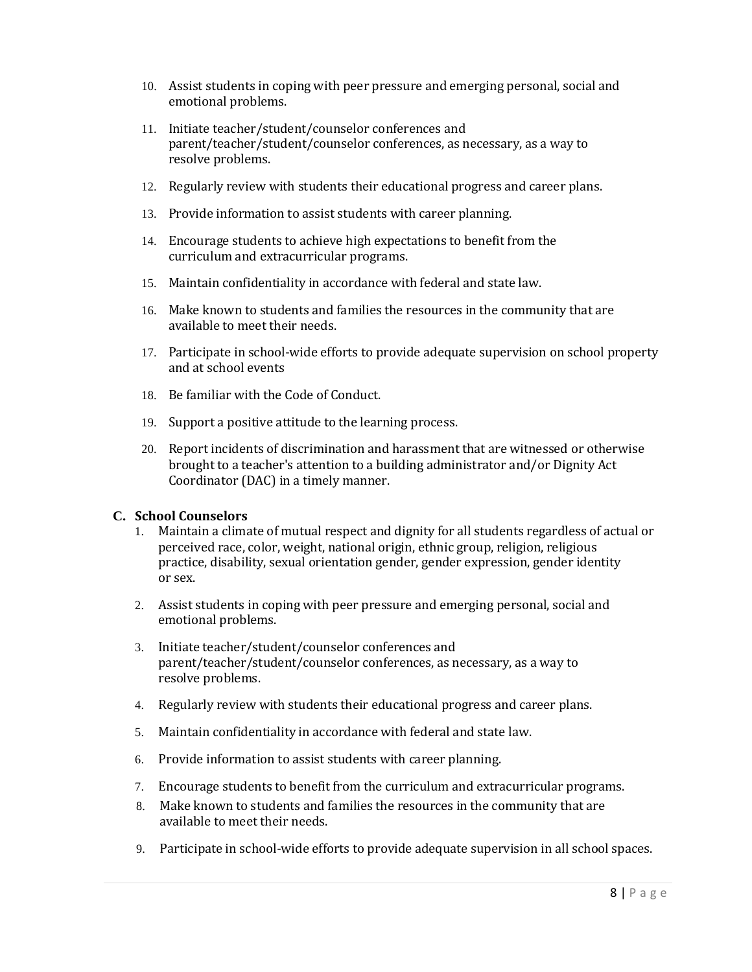- 10. Assist students in coping with peer pressure and emerging personal, social and emotional problems.
- 11. Initiate teacher/student/counselor conferences and parent/teacher/student/counselor conferences, as necessary, as a way to resolve problems.
- 12. Regularly review with students their educational progress and career plans.
- 13. Provide information to assist students with career planning.
- 14. Encourage students to achieve high expectations to benefit from the curriculum and extracurricular programs.
- 15. Maintain confidentiality in accordance with federal and state law.
- 16. Make known to students and families the resources in the community that are available to meet their needs.
- 17. Participate in school-wide efforts to provide adequate supervision on school property and at school events
- 18. Be familiar with the Code of Conduct.
- 19. Support a positive attitude to the learning process.
- 20. Report incidents of discrimination and harassment that are witnessed or otherwise brought to a teacher's attention to a building administrator and/or Dignity Act Coordinator (DAC) in a timely manner.

### **C. School Counselors**

- 1. Maintain a climate of mutual respect and dignity for all students regardless of actual or perceived race, color, weight, national origin, ethnic group, religion, religious practice, disability, sexual orientation gender, gender expression, gender identity or sex.
- 2. Assist students in coping with peer pressure and emerging personal, social and emotional problems.
- 3. Initiate teacher/student/counselor conferences and parent/teacher/student/counselor conferences, as necessary, as a way to resolve problems.
- 4. Regularly review with students their educational progress and career plans.
- 5. Maintain confidentiality in accordance with federal and state law.
- 6. Provide information to assist students with career planning.
- 7. Encourage students to benefit from the curriculum and extracurricular programs.
- 8. Make known to students and families the resources in the community that are available to meet their needs.
- 9. Participate in school-wide efforts to provide adequate supervision in all school spaces.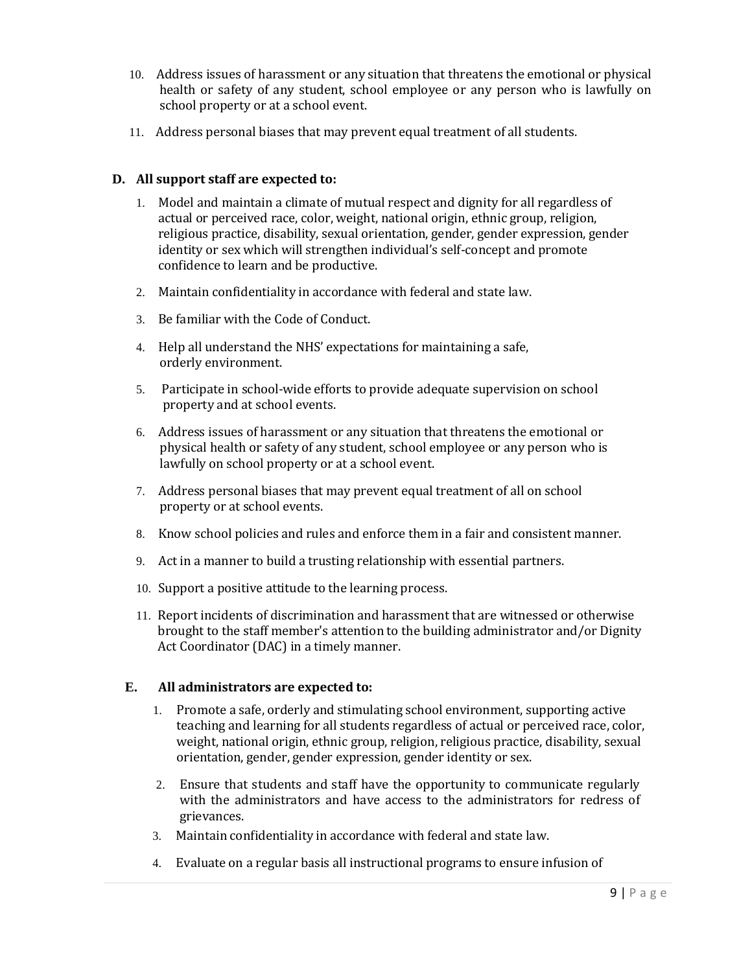- 10. Address issues of harassment or any situation that threatens the emotional or physical health or safety of any student, school employee or any person who is lawfully on school property or at a school event.
- 11. Address personal biases that may prevent equal treatment of all students.

### **D. All support staff are expected to:**

- 1. Model and maintain a climate of mutual respect and dignity for all regardless of actual or perceived race, color, weight, national origin, ethnic group, religion, religious practice, disability, sexual orientation, gender, gender expression, gender identity or sex which will strengthen individual's self-concept and promote confidence to learn and be productive.
- 2. Maintain confidentiality in accordance with federal and state law.
- 3. Be familiar with the Code of Conduct.
- 4. Help all understand the NHS' expectations for maintaining a safe, orderly environment.
- 5. Participate in school-wide efforts to provide adequate supervision on school property and at school events.
- 6. Address issues of harassment or any situation that threatens the emotional or physical health or safety of any student, school employee or any person who is lawfully on school property or at a school event.
- 7. Address personal biases that may prevent equal treatment of all on school property or at school events.
- 8. Know school policies and rules and enforce them in a fair and consistent manner.
- 9. Act in a manner to build a trusting relationship with essential partners.
- 10. Support a positive attitude to the learning process.
- 11. Report incidents of discrimination and harassment that are witnessed or otherwise brought to the staff member's attention to the building administrator and/or Dignity Act Coordinator (DAC) in a timely manner.

#### **E. All administrators are expected to:**

- 1. Promote a safe, orderly and stimulating school environment, supporting active teaching and learning for all students regardless of actual or perceived race, color, weight, national origin, ethnic group, religion, religious practice, disability, sexual orientation, gender, gender expression, gender identity or sex.
- 2. Ensure that students and staff have the opportunity to communicate regularly with the administrators and have access to the administrators for redress of grievances.
- 3. Maintain confidentiality in accordance with federal and state law.
- 4. Evaluate on a regular basis all instructional programs to ensure infusion of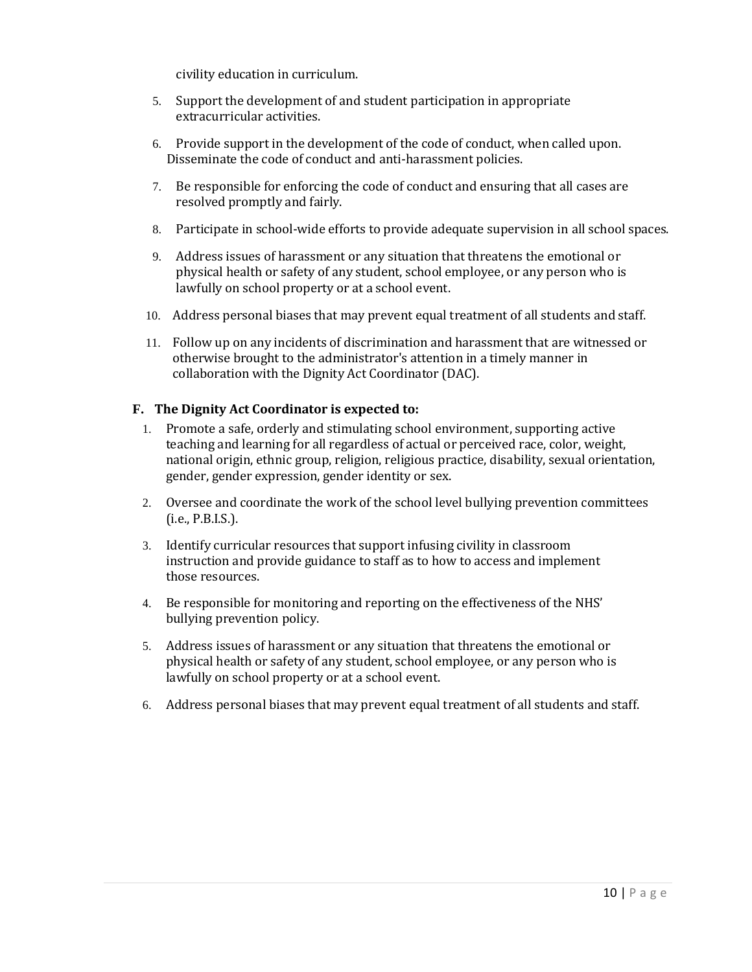civility education in curriculum.

- 5. Support the development of and student participation in appropriate extracurricular activities.
- 6. Provide support in the development of the code of conduct, when called upon. Disseminate the code of conduct and anti-harassment policies.
- 7. Be responsible for enforcing the code of conduct and ensuring that all cases are resolved promptly and fairly.
- 8. Participate in school-wide efforts to provide adequate supervision in all school spaces.
- 9. Address issues of harassment or any situation that threatens the emotional or physical health or safety of any student, school employee, or any person who is lawfully on school property or at a school event.
- 10. Address personal biases that may prevent equal treatment of all students and staff.
- 11. Follow up on any incidents of discrimination and harassment that are witnessed or otherwise brought to the administrator's attention in a timely manner in collaboration with the Dignity Act Coordinator (DAC).

#### **F. The Dignity Act Coordinator is expected to:**

- 1. Promote a safe, orderly and stimulating school environment, supporting active teaching and learning for all regardless of actual or perceived race, color, weight, national origin, ethnic group, religion, religious practice, disability, sexual orientation, gender, gender expression, gender identity or sex.
- 2. Oversee and coordinate the work of the school level bullying prevention committees (i.e., P.B.I.S.).
- 3. Identify curricular resources that support infusing civility in classroom instruction and provide guidance to staff as to how to access and implement those resources.
- 4. Be responsible for monitoring and reporting on the effectiveness of the NHS' bullying prevention policy.
- 5. Address issues of harassment or any situation that threatens the emotional or physical health or safety of any student, school employee, or any person who is lawfully on school property or at a school event.
- 6. Address personal biases that may prevent equal treatment of all students and staff.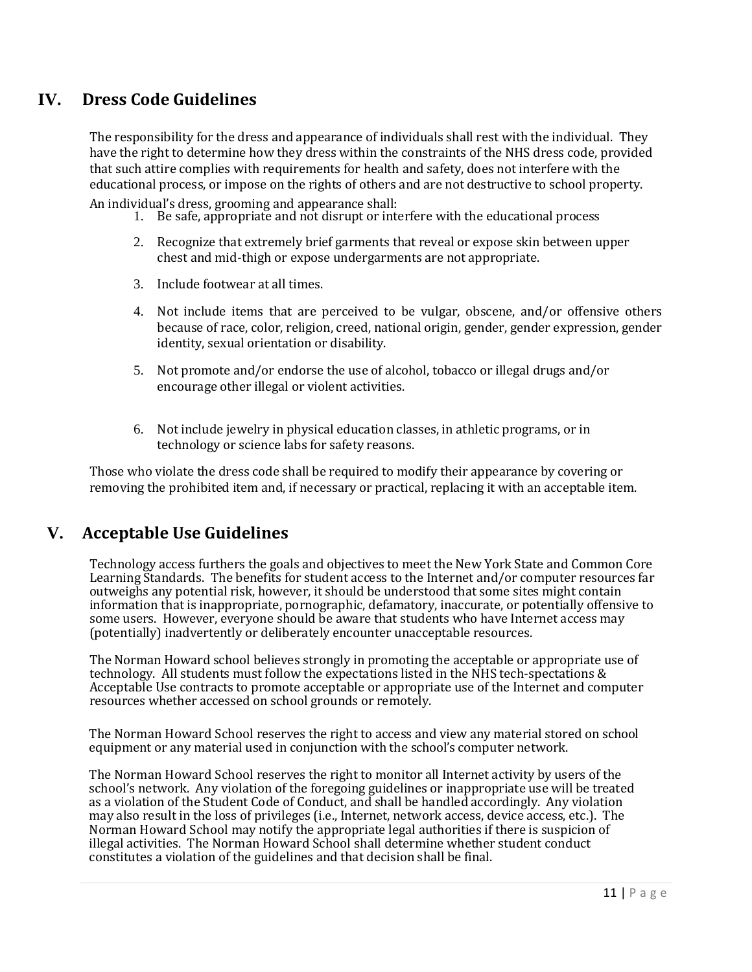# **IV. Dress Code Guidelines**

The responsibility for the dress and appearance of individuals shall rest with the individual. They have the right to determine how they dress within the constraints of the NHS dress code, provided that such attire complies with requirements for health and safety, does not interfere with the educational process, or impose on the rights of others and are not destructive to school property.

An individual's dress, grooming and appearance shall:

- 1. Be safe, appropriate and not disrupt or interfere with the educational process
- 2. Recognize that extremely brief garments that reveal or expose skin between upper chest and mid-thigh or expose undergarments are not appropriate.
- 3. Include footwear at all times.
- 4. Not include items that are perceived to be vulgar, obscene, and/or offensive others because of race, color, religion, creed, national origin, gender, gender expression, gender identity, sexual orientation or disability.
- 5. Not promote and/or endorse the use of alcohol, tobacco or illegal drugs and/or encourage other illegal or violent activities.
- 6. Not include jewelry in physical education classes, in athletic programs, or in technology or science labs for safety reasons.

Those who violate the dress code shall be required to modify their appearance by covering or removing the prohibited item and, if necessary or practical, replacing it with an acceptable item.

## **V. Acceptable Use Guidelines**

Technology access furthers the goals and objectives to meet the New York State and Common Core Learning Standards. The benefits for student access to the Internet and/or computer resources far outweighs any potential risk, however, it should be understood that some sites might contain information that is inappropriate, pornographic, defamatory, inaccurate, or potentially offensive to some users. However, everyone should be aware that students who have Internet access may (potentially) inadvertently or deliberately encounter unacceptable resources.

The Norman Howard school believes strongly in promoting the acceptable or appropriate use of technology. All students must follow the expectations listed in the NHS tech-spectations & Acceptable Use contracts to promote acceptable or appropriate use of the Internet and computer resources whether accessed on school grounds or remotely.

The Norman Howard School reserves the right to access and view any material stored on school equipment or any material used in conjunction with the school's computer network.

The Norman Howard School reserves the right to monitor all Internet activity by users of the school's network. Any violation of the foregoing guidelines or inappropriate use will be treated as a violation of the Student Code of Conduct, and shall be handled accordingly. Any violation may also result in the loss of privileges (i.e., Internet, network access, device access, etc.). The Norman Howard School may notify the appropriate legal authorities if there is suspicion of illegal activities. The Norman Howard School shall determine whether student conduct constitutes a violation of the guidelines and that decision shall be final.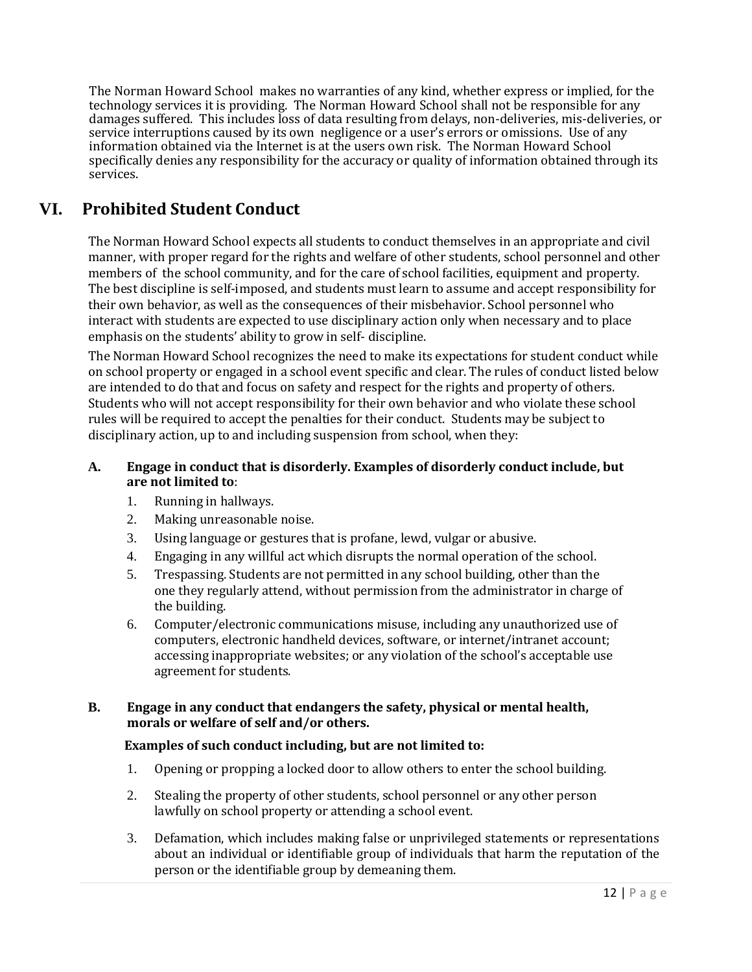The Norman Howard School makes no warranties of any kind, whether express or implied, for the technology services it is providing. The Norman Howard School shall not be responsible for any damages suffered. This includes loss of data resulting from delays, non-deliveries, mis-deliveries, or service interruptions caused by its own negligence or a user's errors or omissions. Use of any information obtained via the Internet is at the users own risk. The Norman Howard School specifically denies any responsibility for the accuracy or quality of information obtained through its services.

# **VI. Prohibited Student Conduct**

The Norman Howard School expects all students to conduct themselves in an appropriate and civil manner, with proper regard for the rights and welfare of other students, school personnel and other members of the school community, and for the care of school facilities, equipment and property. The best discipline is self-imposed, and students must learn to assume and accept responsibility for their own behavior, as well as the consequences of their misbehavior. School personnel who interact with students are expected to use disciplinary action only when necessary and to place emphasis on the students' ability to grow in self- discipline.

The Norman Howard School recognizes the need to make its expectations for student conduct while on school property or engaged in a school event specific and clear. The rules of conduct listed below are intended to do that and focus on safety and respect for the rights and property of others. Students who will not accept responsibility for their own behavior and who violate these school rules will be required to accept the penalties for their conduct. Students may be subject to disciplinary action, up to and including suspension from school, when they:

### **A. Engage in conduct that is disorderly. Examples of disorderly conduct include, but are not limited to**:

- 1. Running in hallways.
- 2. Making unreasonable noise.
- 3. Using language or gestures that is profane, lewd, vulgar or abusive.
- 4. Engaging in any willful act which disrupts the normal operation of the school.
- 5. Trespassing. Students are not permitted in any school building, other than the one they regularly attend, without permission from the administrator in charge of the building.
- 6. Computer/electronic communications misuse, including any unauthorized use of computers, electronic handheld devices, software, or internet/intranet account; accessing inappropriate websites; or any violation of the school's acceptable use agreement for students.

### **B. Engage in any conduct that endangers the safety, physical or mental health, morals or welfare of self and/or others.**

### **Examples of such conduct including, but are not limited to:**

- 1. Opening or propping a locked door to allow others to enter the school building.
- 2. Stealing the property of other students, school personnel or any other person lawfully on school property or attending a school event.
- 3. Defamation, which includes making false or unprivileged statements or representations about an individual or identifiable group of individuals that harm the reputation of the person or the identifiable group by demeaning them.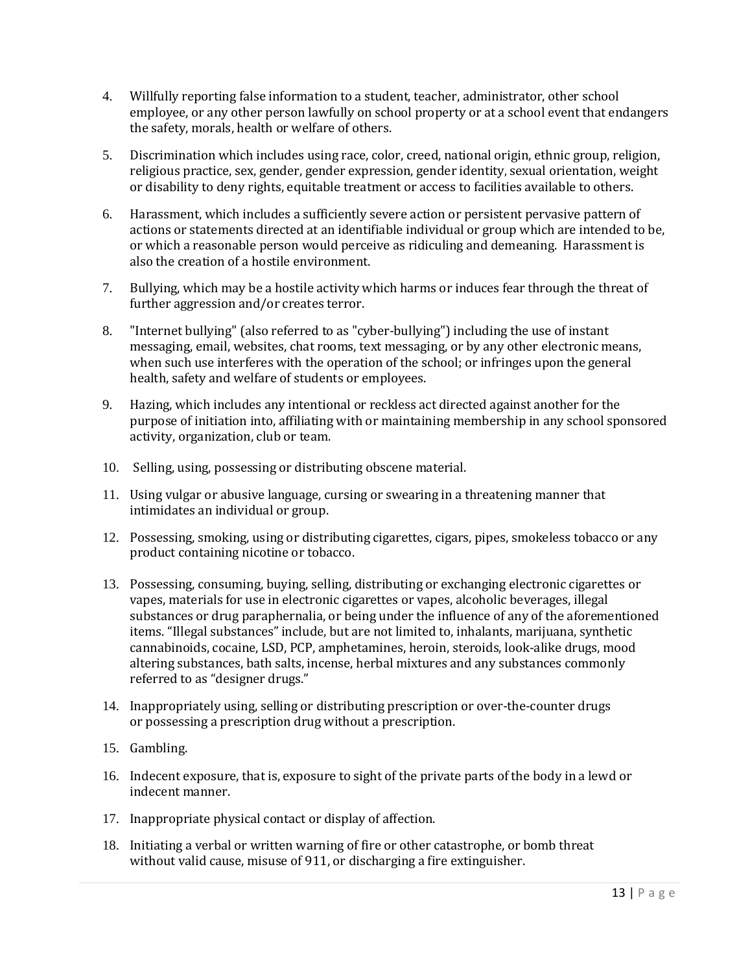- 4. Willfully reporting false information to a student, teacher, administrator, other school employee, or any other person lawfully on school property or at a school event that endangers the safety, morals, health or welfare of others.
- 5. Discrimination which includes using race, color, creed, national origin, ethnic group, religion, religious practice, sex, gender, gender expression, gender identity, sexual orientation, weight or disability to deny rights, equitable treatment or access to facilities available to others.
- 6. Harassment, which includes a sufficiently severe action or persistent pervasive pattern of actions or statements directed at an identifiable individual or group which are intended to be, or which a reasonable person would perceive as ridiculing and demeaning. Harassment is also the creation of a hostile environment.
- 7. Bullying, which may be a hostile activity which harms or induces fear through the threat of further aggression and/or creates terror.
- 8. "Internet bullying" (also referred to as "cyber-bullying") including the use of instant messaging, email, websites, chat rooms, text messaging, or by any other electronic means, when such use interferes with the operation of the school; or infringes upon the general health, safety and welfare of students or employees.
- 9. Hazing, which includes any intentional or reckless act directed against another for the purpose of initiation into, affiliating with or maintaining membership in any school sponsored activity, organization, club or team.
- 10. Selling, using, possessing or distributing obscene material.
- 11. Using vulgar or abusive language, cursing or swearing in a threatening manner that intimidates an individual or group.
- 12. Possessing, smoking, using or distributing cigarettes, cigars, pipes, smokeless tobacco or any product containing nicotine or tobacco.
- 13. Possessing, consuming, buying, selling, distributing or exchanging electronic cigarettes or vapes, materials for use in electronic cigarettes or vapes, alcoholic beverages, illegal substances or drug paraphernalia, or being under the influence of any of the aforementioned items. "Illegal substances" include, but are not limited to, inhalants, marijuana, synthetic cannabinoids, cocaine, LSD, PCP, amphetamines, heroin, steroids, look-alike drugs, mood altering substances, bath salts, incense, herbal mixtures and any substances commonly referred to as "designer drugs."
- 14. Inappropriately using, selling or distributing prescription or over-the-counter drugs or possessing a prescription drug without a prescription.
- 15. Gambling.
- 16. Indecent exposure, that is, exposure to sight of the private parts of the body in a lewd or indecent manner.
- 17. Inappropriate physical contact or display of affection.
- 18. Initiating a verbal or written warning of fire or other catastrophe, or bomb threat without valid cause, misuse of 911, or discharging a fire extinguisher.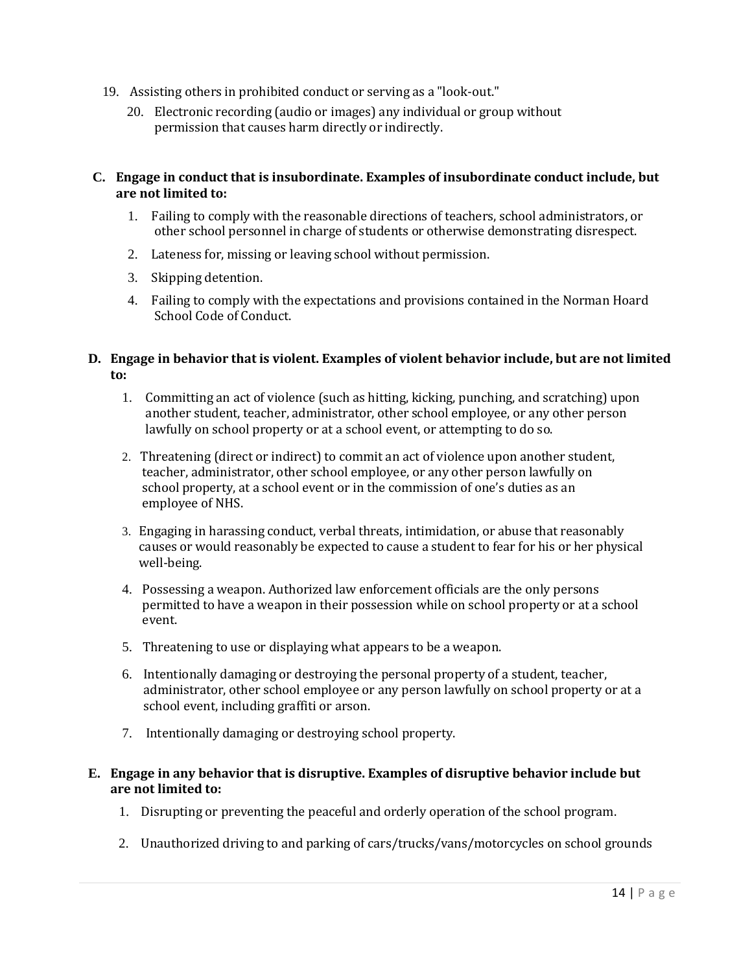- 19. Assisting others in prohibited conduct or serving as a "look-out."
	- 20. Electronic recording (audio or images) any individual or group without permission that causes harm directly or indirectly.

#### **C. Engage in conduct that is insubordinate. Examples of insubordinate conduct include, but are not limited to:**

- 1. Failing to comply with the reasonable directions of teachers, school administrators, or other school personnel in charge of students or otherwise demonstrating disrespect.
- 2. Lateness for, missing or leaving school without permission.
- 3. Skipping detention.
- 4. Failing to comply with the expectations and provisions contained in the Norman Hoard School Code of Conduct.

### **D. Engage in behavior that is violent. Examples of violent behavior include, but are not limited to:**

- 1. Committing an act of violence (such as hitting, kicking, punching, and scratching) upon another student, teacher, administrator, other school employee, or any other person lawfully on school property or at a school event, or attempting to do so.
- 2. Threatening (direct or indirect) to commit an act of violence upon another student, teacher, administrator, other school employee, or any other person lawfully on school property, at a school event or in the commission of one's duties as an employee of NHS.
- 3. Engaging in harassing conduct, verbal threats, intimidation, or abuse that reasonably causes or would reasonably be expected to cause a student to fear for his or her physical well-being.
- 4. Possessing a weapon. Authorized law enforcement officials are the only persons permitted to have a weapon in their possession while on school property or at a school event.
- 5. Threatening to use or displaying what appears to be a weapon.
- 6. Intentionally damaging or destroying the personal property of a student, teacher, administrator, other school employee or any person lawfully on school property or at a school event, including graffiti or arson.
- 7. Intentionally damaging or destroying school property.

### **E. Engage in any behavior that is disruptive. Examples of disruptive behavior include but are not limited to:**

- 1. Disrupting or preventing the peaceful and orderly operation of the school program.
- 2. Unauthorized driving to and parking of cars/trucks/vans/motorcycles on school grounds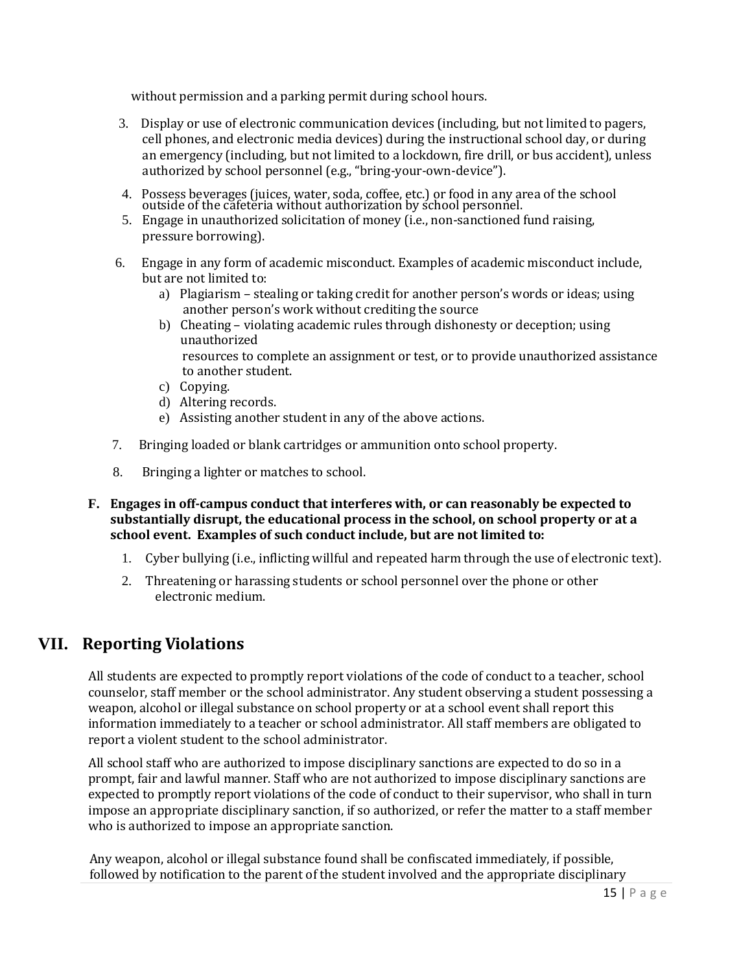without permission and a parking permit during school hours.

- 3. Display or use of electronic communication devices (including, but not limited to pagers, cell phones, and electronic media devices) during the instructional school day, or during an emergency (including, but not limited to a lockdown, fire drill, or bus accident), unless authorized by school personnel (e.g., "bring-your-own-device").
- 4. Possess beverages (juices, water, soda, coffee, etc.) or food in any area of the school outside of the cafeteria without authorization by school personnel.
- 5. Engage in unauthorized solicitation of money (i.e., non-sanctioned fund raising, pressure borrowing).
- 6. Engage in any form of academic misconduct. Examples of academic misconduct include, but are not limited to:
	- a) Plagiarism stealing or taking credit for another person's words or ideas; using another person's work without crediting the source
	- b) Cheating violating academic rules through dishonesty or deception; using unauthorized resources to complete an assignment or test, or to provide unauthorized assistance to another student.
	- c) Copying.
	- d) Altering records.
	- e) Assisting another student in any of the above actions.
- 7. Bringing loaded or blank cartridges or ammunition onto school property.
- 8. Bringing a lighter or matches to school.
- **F. Engages in off-campus conduct that interferes with, or can reasonably be expected to substantially disrupt, the educational process in the school, on school property or at a school event. Examples of such conduct include, but are not limited to:**
	- 1. Cyber bullying (i.e., inflicting willful and repeated harm through the use of electronic text).
	- 2. Threatening or harassing students or school personnel over the phone or other electronic medium.

# **VII. Reporting Violations**

All students are expected to promptly report violations of the code of conduct to a teacher, school counselor, staff member or the school administrator. Any student observing a student possessing a weapon, alcohol or illegal substance on school property or at a school event shall report this information immediately to a teacher or school administrator. All staff members are obligated to report a violent student to the school administrator.

All school staff who are authorized to impose disciplinary sanctions are expected to do so in a prompt, fair and lawful manner. Staff who are not authorized to impose disciplinary sanctions are expected to promptly report violations of the code of conduct to their supervisor, who shall in turn impose an appropriate disciplinary sanction, if so authorized, or refer the matter to a staff member who is authorized to impose an appropriate sanction.

Any weapon, alcohol or illegal substance found shall be confiscated immediately, if possible, followed by notification to the parent of the student involved and the appropriate disciplinary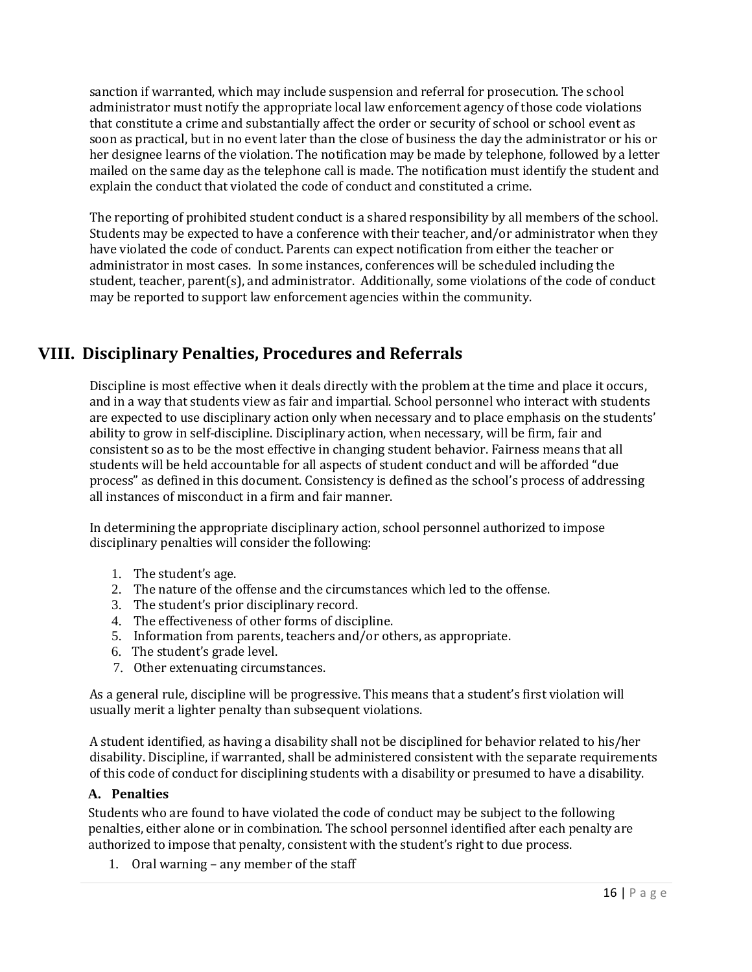sanction if warranted, which may include suspension and referral for prosecution. The school administrator must notify the appropriate local law enforcement agency of those code violations that constitute a crime and substantially affect the order or security of school or school event as soon as practical, but in no event later than the close of business the day the administrator or his or her designee learns of the violation. The notification may be made by telephone, followed by a letter mailed on the same day as the telephone call is made. The notification must identify the student and explain the conduct that violated the code of conduct and constituted a crime.

The reporting of prohibited student conduct is a shared responsibility by all members of the school. Students may be expected to have a conference with their teacher, and/or administrator when they have violated the code of conduct. Parents can expect notification from either the teacher or administrator in most cases. In some instances, conferences will be scheduled including the student, teacher, parent(s), and administrator. Additionally, some violations of the code of conduct may be reported to support law enforcement agencies within the community.

# **VIII. Disciplinary Penalties, Procedures and Referrals**

Discipline is most effective when it deals directly with the problem at the time and place it occurs, and in a way that students view as fair and impartial. School personnel who interact with students are expected to use disciplinary action only when necessary and to place emphasis on the students' ability to grow in self-discipline. Disciplinary action, when necessary, will be firm, fair and consistent so as to be the most effective in changing student behavior. Fairness means that all students will be held accountable for all aspects of student conduct and will be afforded "due process" as defined in this document. Consistency is defined as the school's process of addressing all instances of misconduct in a firm and fair manner.

In determining the appropriate disciplinary action, school personnel authorized to impose disciplinary penalties will consider the following:

- 1. The student's age.
- 2. The nature of the offense and the circumstances which led to the offense.
- 3. The student's prior disciplinary record.
- 4. The effectiveness of other forms of discipline.
- 5. Information from parents, teachers and/or others, as appropriate.
- 6. The student's grade level.
- 7. Other extenuating circumstances.

As a general rule, discipline will be progressive. This means that a student's first violation will usually merit a lighter penalty than subsequent violations.

A student identified, as having a disability shall not be disciplined for behavior related to his/her disability. Discipline, if warranted, shall be administered consistent with the separate requirements of this code of conduct for disciplining students with a disability or presumed to have a disability.

### **A. Penalties**

Students who are found to have violated the code of conduct may be subject to the following penalties, either alone or in combination. The school personnel identified after each penalty are authorized to impose that penalty, consistent with the student's right to due process.

1. Oral warning – any member of the staff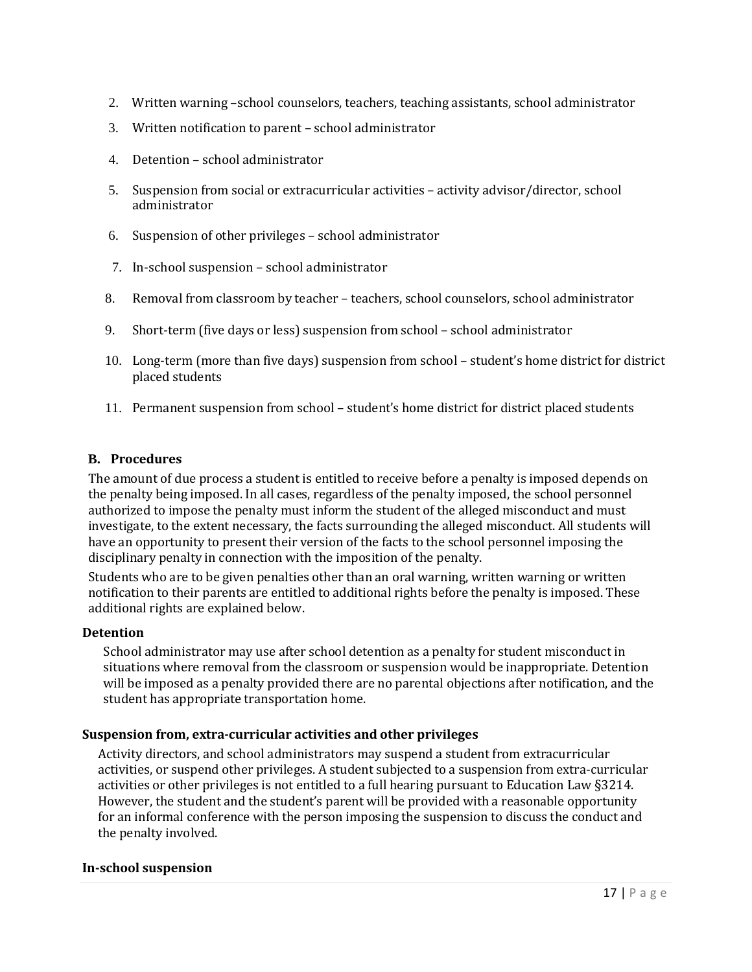- 2. Written warning –school counselors, teachers, teaching assistants, school administrator
- 3. Written notification to parent school administrator
- 4. Detention school administrator
- 5. Suspension from social or extracurricular activities activity advisor/director, school administrator
- 6. Suspension of other privileges school administrator
- 7. In-school suspension school administrator
- 8. Removal from classroom by teacher teachers, school counselors, school administrator
- 9. Short-term (five days or less) suspension from school school administrator
- 10. Long-term (more than five days) suspension from school student's home district for district placed students
- 11. Permanent suspension from school student's home district for district placed students

#### **B. Procedures**

The amount of due process a student is entitled to receive before a penalty is imposed depends on the penalty being imposed. In all cases, regardless of the penalty imposed, the school personnel authorized to impose the penalty must inform the student of the alleged misconduct and must investigate, to the extent necessary, the facts surrounding the alleged misconduct. All students will have an opportunity to present their version of the facts to the school personnel imposing the disciplinary penalty in connection with the imposition of the penalty.

Students who are to be given penalties other than an oral warning, written warning or written notification to their parents are entitled to additional rights before the penalty is imposed. These additional rights are explained below.

#### **Detention**

School administrator may use after school detention as a penalty for student misconduct in situations where removal from the classroom or suspension would be inappropriate. Detention will be imposed as a penalty provided there are no parental objections after notification, and the student has appropriate transportation home.

#### **Suspension from, extra-curricular activities and other privileges**

Activity directors, and school administrators may suspend a student from extracurricular activities, or suspend other privileges. A student subjected to a suspension from extra-curricular activities or other privileges is not entitled to a full hearing pursuant to Education Law §3214. However, the student and the student's parent will be provided with a reasonable opportunity for an informal conference with the person imposing the suspension to discuss the conduct and the penalty involved.

#### **In-school suspension**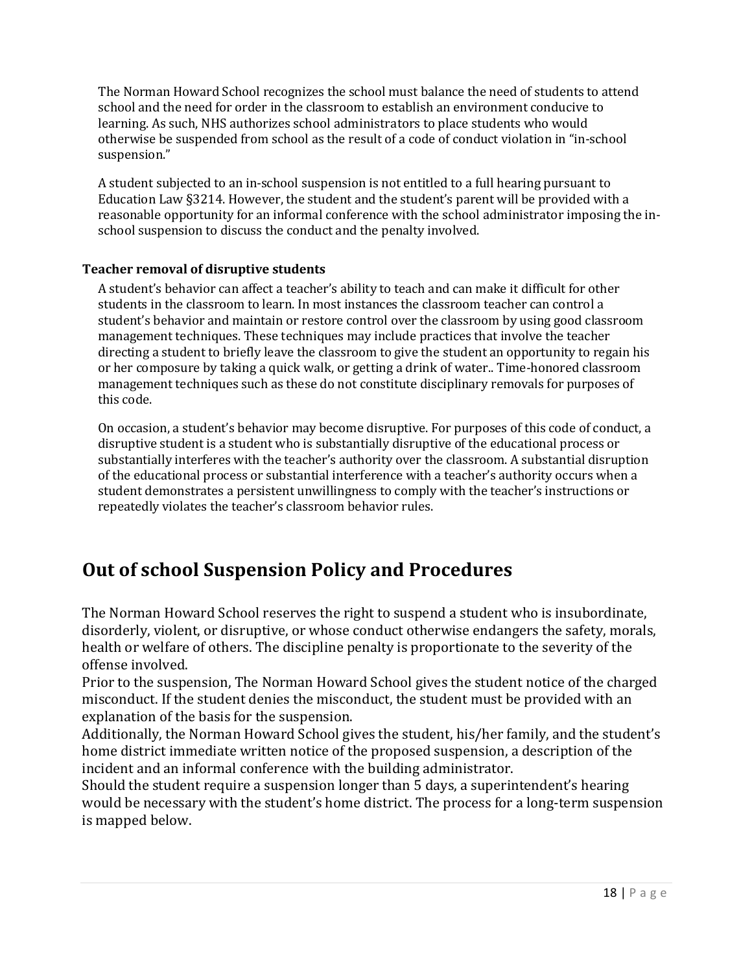The Norman Howard School recognizes the school must balance the need of students to attend school and the need for order in the classroom to establish an environment conducive to learning. As such, NHS authorizes school administrators to place students who would otherwise be suspended from school as the result of a code of conduct violation in "in-school suspension."

A student subjected to an in-school suspension is not entitled to a full hearing pursuant to Education Law §3214. However, the student and the student's parent will be provided with a reasonable opportunity for an informal conference with the school administrator imposing the inschool suspension to discuss the conduct and the penalty involved.

### **Teacher removal of disruptive students**

A student's behavior can affect a teacher's ability to teach and can make it difficult for other students in the classroom to learn. In most instances the classroom teacher can control a student's behavior and maintain or restore control over the classroom by using good classroom management techniques. These techniques may include practices that involve the teacher directing a student to briefly leave the classroom to give the student an opportunity to regain his or her composure by taking a quick walk, or getting a drink of water.. Time-honored classroom management techniques such as these do not constitute disciplinary removals for purposes of this code.

On occasion, a student's behavior may become disruptive. For purposes of this code of conduct, a disruptive student is a student who is substantially disruptive of the educational process or substantially interferes with the teacher's authority over the classroom. A substantial disruption of the educational process or substantial interference with a teacher's authority occurs when a student demonstrates a persistent unwillingness to comply with the teacher's instructions or repeatedly violates the teacher's classroom behavior rules.

# **Out of school Suspension Policy and Procedures**

The Norman Howard School reserves the right to suspend a student who is insubordinate, disorderly, violent, or disruptive, or whose conduct otherwise endangers the safety, morals, health or welfare of others. The discipline penalty is proportionate to the severity of the offense involved.

Prior to the suspension, The Norman Howard School gives the student notice of the charged misconduct. If the student denies the misconduct, the student must be provided with an explanation of the basis for the suspension.

Additionally, the Norman Howard School gives the student, his/her family, and the student's home district immediate written notice of the proposed suspension, a description of the incident and an informal conference with the building administrator.

Should the student require a suspension longer than 5 days, a superintendent's hearing would be necessary with the student's home district. The process for a long-term suspension is mapped below.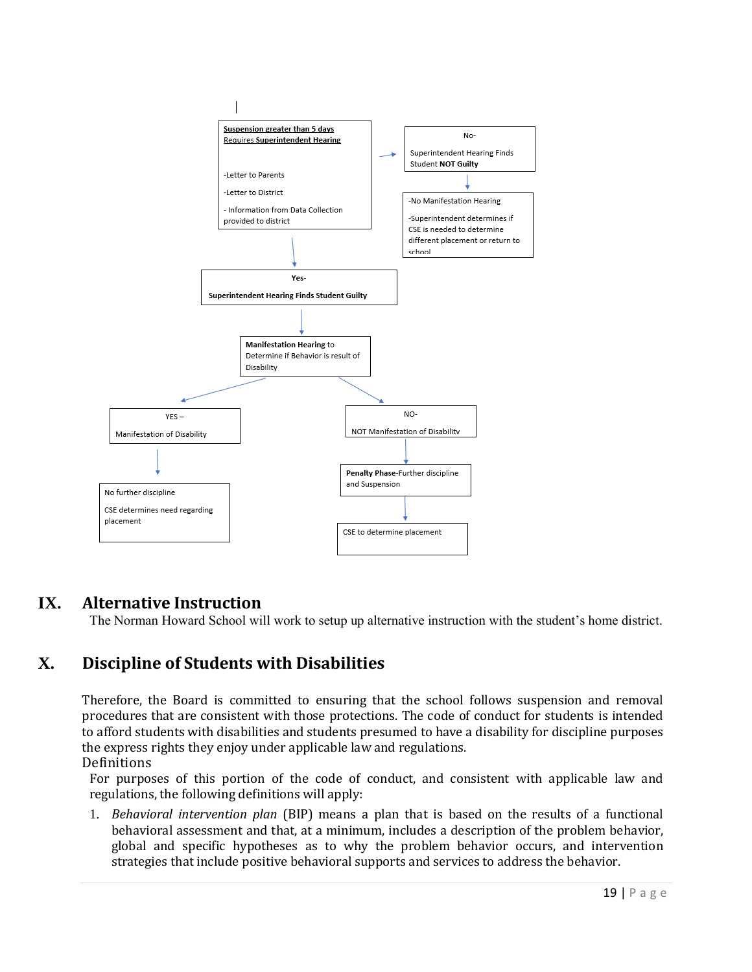

## **IX. Alternative Instruction**

The Norman Howard School will work to setup up alternative instruction with the student's home district.

# **X. Discipline of Students with Disabilities**

Therefore, the Board is committed to ensuring that the school follows suspension and removal procedures that are consistent with those protections. The code of conduct for students is intended to afford students with disabilities and students presumed to have a disability for discipline purposes the express rights they enjoy under applicable law and regulations.

Definitions

For purposes of this portion of the code of conduct, and consistent with applicable law and regulations, the following definitions will apply:

1. *Behavioral intervention plan* (BIP) means a plan that is based on the results of a functional behavioral assessment and that, at a minimum, includes a description of the problem behavior, global and specific hypotheses as to why the problem behavior occurs, and intervention strategies that include positive behavioral supports and services to address the behavior.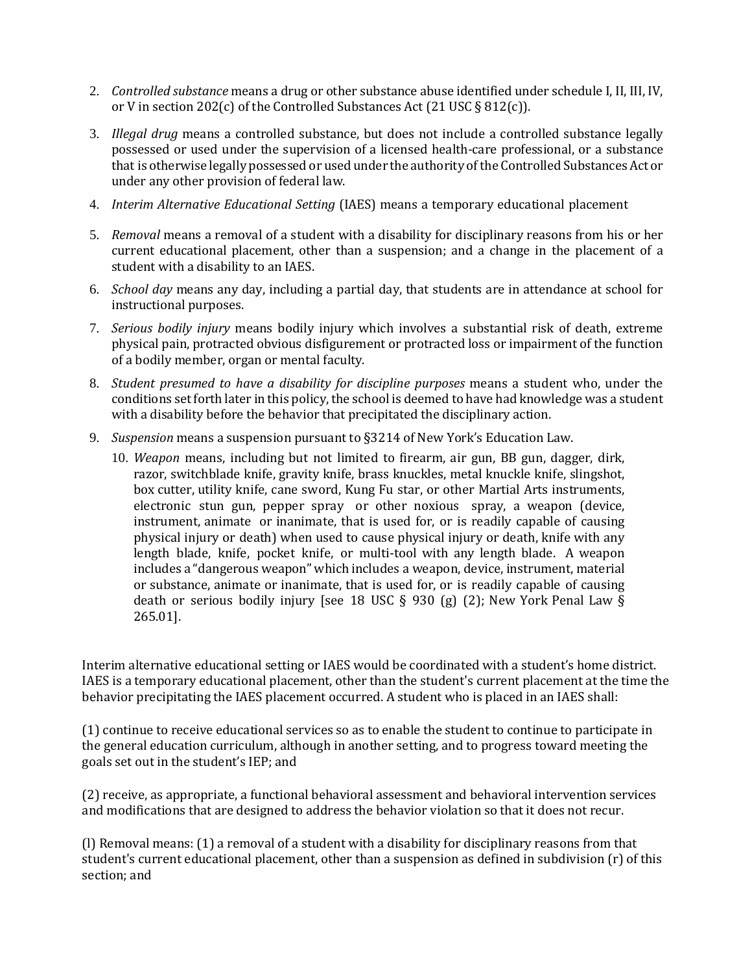- 2. *Controlled substance* means a drug or other substance abuse identified under schedule I, II, III, IV, or V in section 202(c) of the Controlled Substances Act (21 USC § 812(c)).
- 3. *Illegal drug* means a controlled substance, but does not include a controlled substance legally possessed or used under the supervision of a licensed health-care professional, or a substance that is otherwise legally possessed or used under the authority of the Controlled Substances Act or under any other provision of federal law.
- 4. *Interim Alternative Educational Setting* (IAES) means a temporary educational placement
- 5. *Removal* means a removal of a student with a disability for disciplinary reasons from his or her current educational placement, other than a suspension; and a change in the placement of a student with a disability to an IAES.
- 6. *School day* means any day, including a partial day, that students are in attendance at school for instructional purposes.
- 7. *Serious bodily injury* means bodily injury which involves a substantial risk of death, extreme physical pain, protracted obvious disfigurement or protracted loss or impairment of the function of a bodily member, organ or mental faculty.
- 8. *Student presumed to have a disability for discipline purposes* means a student who, under the conditions set forth later in this policy, the school is deemed to have had knowledge was a student with a disability before the behavior that precipitated the disciplinary action.
- 9. *Suspension* means a suspension pursuant to §3214 of New York's Education Law.
	- 10. *Weapon* means, including but not limited to firearm, air gun, BB gun, dagger, dirk, razor, switchblade knife, gravity knife, brass knuckles, metal knuckle knife, slingshot, box cutter, utility knife, cane sword, Kung Fu star, or other Martial Arts instruments, electronic stun gun, pepper spray or other noxious spray, a weapon (device, instrument, animate or inanimate, that is used for, or is readily capable of causing physical injury or death) when used to cause physical injury or death, knife with any length blade, knife, pocket knife, or multi-tool with any length blade. A weapon includes a "dangerous weapon" which includes a weapon, device, instrument, material or substance, animate or inanimate, that is used for, or is readily capable of causing death or serious bodily injury [see 18 USC § 930 (g) (2); New York Penal Law § 265.01].

Interim alternative educational setting or IAES would be coordinated with a student's home district. IAES is a temporary educational placement, other than the student's current placement at the time the behavior precipitating the IAES placement occurred. A student who is placed in an IAES shall:

(1) continue to receive educational services so as to enable the student to continue to participate in the general education curriculum, although in another setting, and to progress toward meeting the goals set out in the student's IEP; and

(2) receive, as appropriate, a functional behavioral assessment and behavioral intervention services and modifications that are designed to address the behavior violation so that it does not recur.

(l) Removal means: (1) a removal of a student with a disability for disciplinary reasons from that student's current educational placement, other than a suspension as defined in subdivision (r) of this section; and

20 | P a g e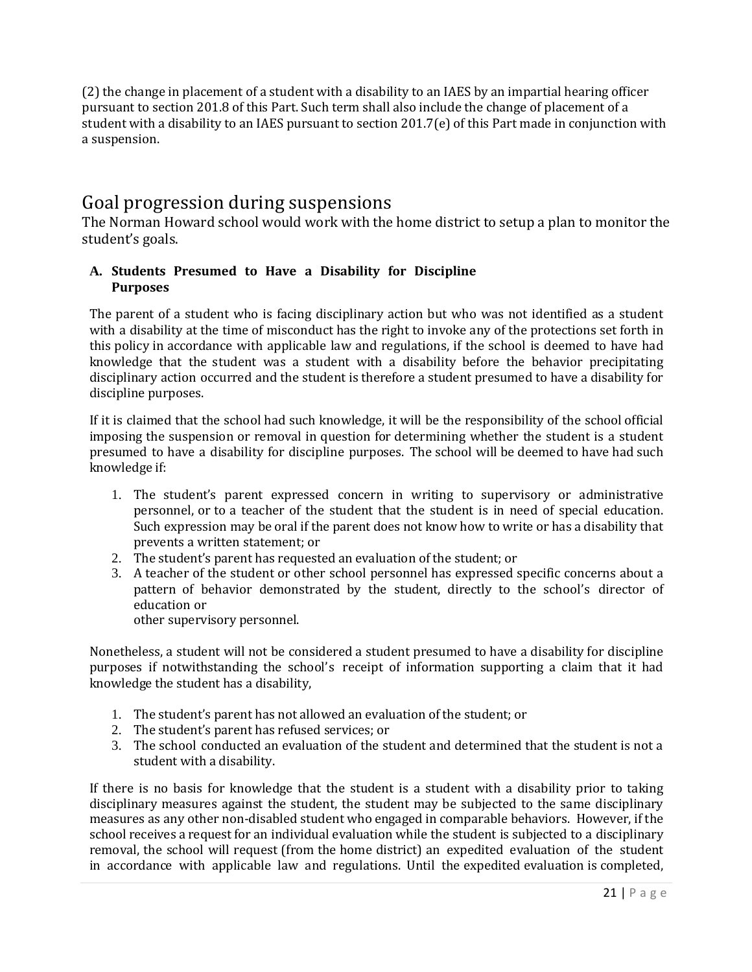(2) the change in placement of a student with a disability to an IAES by an impartial hearing officer pursuant to section 201.8 of this Part. Such term shall also include the change of placement of a student with a disability to an IAES pursuant to section 201.7(e) of this Part made in conjunction with a suspension.

# Goal progression during suspensions

The Norman Howard school would work with the home district to setup a plan to monitor the student's goals.

### **A. Students Presumed to Have a Disability for Discipline Purposes**

The parent of a student who is facing disciplinary action but who was not identified as a student with a disability at the time of misconduct has the right to invoke any of the protections set forth in this policy in accordance with applicable law and regulations, if the school is deemed to have had knowledge that the student was a student with a disability before the behavior precipitating disciplinary action occurred and the student is therefore a student presumed to have a disability for discipline purposes.

If it is claimed that the school had such knowledge, it will be the responsibility of the school official imposing the suspension or removal in question for determining whether the student is a student presumed to have a disability for discipline purposes. The school will be deemed to have had such knowledge if:

- 1. The student's parent expressed concern in writing to supervisory or administrative personnel, or to a teacher of the student that the student is in need of special education. Such expression may be oral if the parent does not know how to write or has a disability that prevents a written statement; or
- 2. The student's parent has requested an evaluation of the student; or
- 3. A teacher of the student or other school personnel has expressed specific concerns about a pattern of behavior demonstrated by the student, directly to the school's director of education or other supervisory personnel.

Nonetheless, a student will not be considered a student presumed to have a disability for discipline purposes if notwithstanding the school's receipt of information supporting a claim that it had knowledge the student has a disability,

- 1. The student's parent has not allowed an evaluation of the student; or
- 2. The student's parent has refused services; or
- 3. The school conducted an evaluation of the student and determined that the student is not a student with a disability.

If there is no basis for knowledge that the student is a student with a disability prior to taking disciplinary measures against the student, the student may be subjected to the same disciplinary measures as any other non-disabled student who engaged in comparable behaviors. However, if the school receives a request for an individual evaluation while the student is subjected to a disciplinary removal, the school will request (from the home district) an expedited evaluation of the student in accordance with applicable law and regulations. Until the expedited evaluation is completed,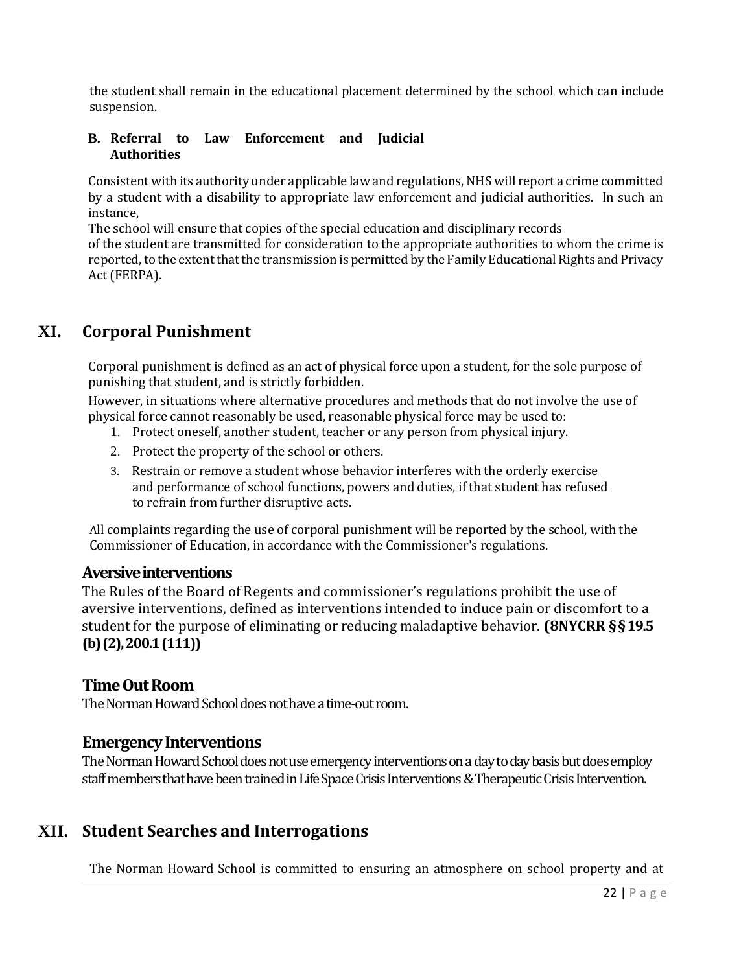the student shall remain in the educational placement determined by the school which can include suspension.

#### **B. Referral to Law Enforcement and Judicial Authorities**

Consistent with its authority under applicable lawand regulations,NHS will report a crime committed by a student with a disability to appropriate law enforcement and judicial authorities. In such an instance,

The school will ensure that copies of the special education and disciplinary records

of the student are transmitted for consideration to the appropriate authorities to whom the crime is reported, to the extent that the transmission is permitted by the Family Educational Rights and Privacy Act(FERPA).

# **XI. Corporal Punishment**

Corporal punishment is defined as an act of physical force upon a student, for the sole purpose of punishing that student, and is strictly forbidden.

However, in situations where alternative procedures and methods that do not involve the use of physical force cannot reasonably be used, reasonable physical force may be used to:

- 1. Protect oneself, another student, teacher or any person from physical injury.
- 2. Protect the property of the school or others.
- 3. Restrain or remove a student whose behavior interferes with the orderly exercise and performance of school functions, powers and duties, if that student has refused to refrain from further disruptive acts.

All complaints regarding the use of corporal punishment will be reported by the school, with the Commissioner of Education, in accordance with the Commissioner's regulations.

### **Aversive interventions**

The Rules of the Board of Regents and commissioner's regulations prohibit the use of aversive interventions, defined as interventions intended to induce pain or discomfort to a student for the purpose of eliminating or reducing maladaptive behavior. **(8NYCRR §§19.5 (b) (2), 200.1 (111))**

### **Time Out Room**

The Norman Howard School does not have a time-out room.

### **Emergency Interventions**

The Norman Howard School does not use emergency interventions on a day to day basis but does employ staff members that have been trained in Life Space Crisis Interventions & Therapeutic Crisis Intervention.

## **XII. Student Searches and Interrogations**

The Norman Howard School is committed to ensuring an atmosphere on school property and at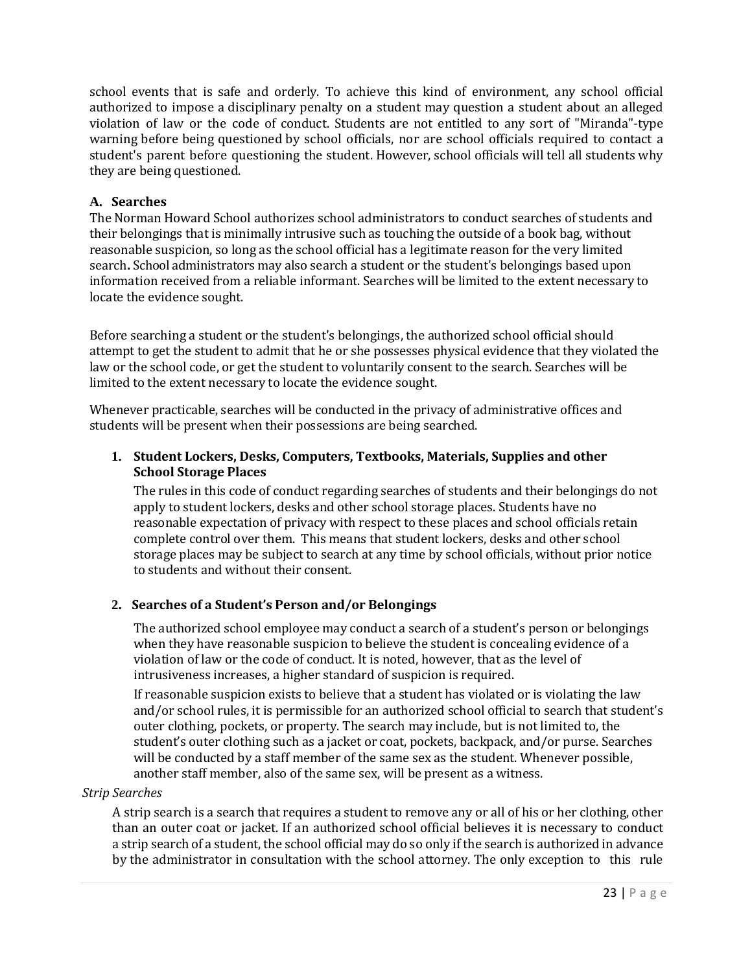school events that is safe and orderly. To achieve this kind of environment, any school official authorized to impose a disciplinary penalty on a student may question a student about an alleged violation of law or the code of conduct. Students are not entitled to any sort of "Miranda"-type warning before being questioned by school officials, nor are school officials required to contact a student's parent before questioning the student. However, school officials will tell all students why they are being questioned.

### **A. Searches**

The Norman Howard School authorizes school administrators to conduct searches of students and their belongings that is minimally intrusive such as touching the outside of a book bag, without reasonable suspicion, so long as the school official has a legitimate reason for the very limited search**.** School administrators may also search a student or the student's belongings based upon information received from a reliable informant. Searches will be limited to the extent necessary to locate the evidence sought.

Before searching a student or the student's belongings, the authorized school official should attempt to get the student to admit that he or she possesses physical evidence that they violated the law or the school code, or get the student to voluntarily consent to the search. Searches will be limited to the extent necessary to locate the evidence sought.

Whenever practicable, searches will be conducted in the privacy of administrative offices and students will be present when their possessions are being searched.

### **1. Student Lockers, Desks, Computers, Textbooks, Materials, Supplies and other School Storage Places**

The rules in this code of conduct regarding searches of students and their belongings do not apply to student lockers, desks and other school storage places. Students have no reasonable expectation of privacy with respect to these places and school officials retain complete control over them. This means that student lockers, desks and other school storage places may be subject to search at any time by school officials, without prior notice to students and without their consent.

### **2. Searches of a Student's Person and/or Belongings**

The authorized school employee may conduct a search of a student's person or belongings when they have reasonable suspicion to believe the student is concealing evidence of a violation of law or the code of conduct. It is noted, however, that as the level of intrusiveness increases, a higher standard of suspicion is required.

If reasonable suspicion exists to believe that a student has violated or is violating the law and/or school rules, it is permissible for an authorized school official to search that student's outer clothing, pockets, or property. The search may include, but is not limited to, the student's outer clothing such as a jacket or coat, pockets, backpack, and/or purse. Searches will be conducted by a staff member of the same sex as the student. Whenever possible, another staff member, also of the same sex, will be present as a witness.

### *Strip Searches*

A strip search is a search that requires a student to remove any or all of his or her clothing, other than an outer coat or jacket. If an authorized school official believes it is necessary to conduct a strip search of a student, the school official may do so only if the search is authorized in advance by the administrator in consultation with the school attorney. The only exception to this rule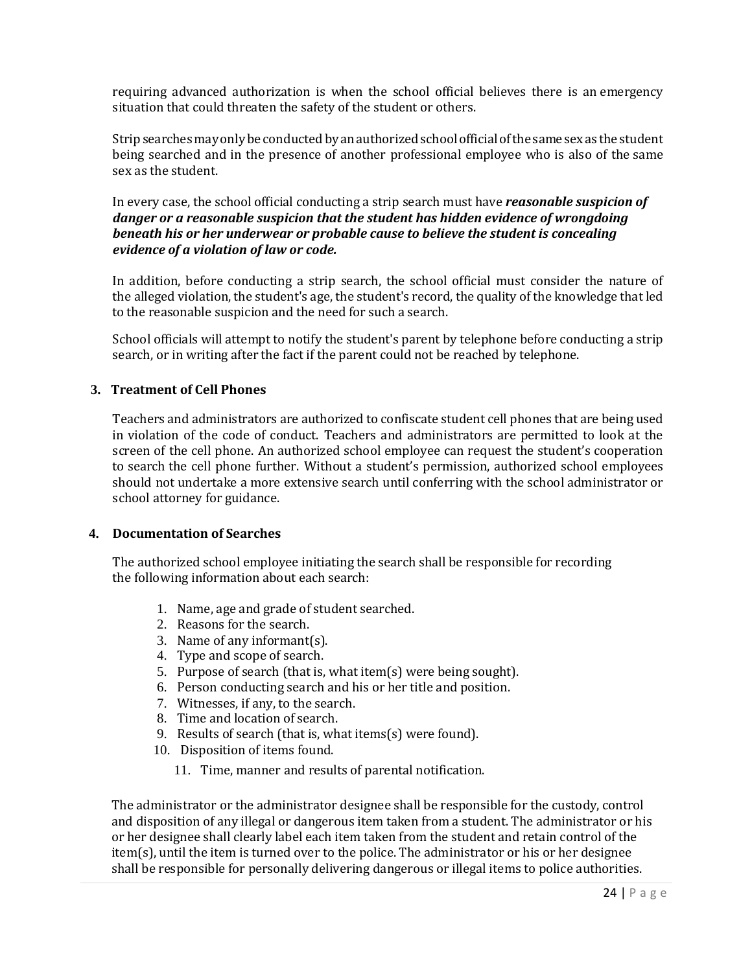requiring advanced authorization is when the school official believes there is an emergency situation that could threaten the safety of the student or others.

Strip searches may only be conducted by an authorized school official of the same sex as the student being searched and in the presence of another professional employee who is also of the same sex as the student.

In every case, the school official conducting a strip search must have *reasonable suspicion of danger or a reasonable suspicion that the student has hidden evidence of wrongdoing beneath his or her underwear or probable cause to believe the student is concealing evidence of a violation of law or code.*

In addition, before conducting a strip search, the school official must consider the nature of the alleged violation, the student's age, the student's record, the quality of the knowledge that led to the reasonable suspicion and the need for such a search.

School officials will attempt to notify the student's parent by telephone before conducting a strip search, or in writing after the fact if the parent could not be reached by telephone.

#### **3. Treatment of Cell Phones**

Teachers and administrators are authorized to confiscate student cell phones that are being used in violation of the code of conduct. Teachers and administrators are permitted to look at the screen of the cell phone. An authorized school employee can request the student's cooperation to search the cell phone further. Without a student's permission, authorized school employees should not undertake a more extensive search until conferring with the school administrator or school attorney for guidance.

#### **4. Documentation of Searches**

The authorized school employee initiating the search shall be responsible for recording the following information about each search:

- 1. Name, age and grade of student searched.
- 2. Reasons for the search.
- 3. Name of any informant(s).
- 4. Type and scope of search.
- 5. Purpose of search (that is, what item(s) were being sought).
- 6. Person conducting search and his or her title and position.
- 7. Witnesses, if any, to the search.
- 8. Time and location of search.
- 9. Results of search (that is, what items(s) were found).
- 10. Disposition of items found.
	- 11. Time, manner and results of parental notification.

The administrator or the administrator designee shall be responsible for the custody, control and disposition of any illegal or dangerous item taken from a student. The administrator or his or her designee shall clearly label each item taken from the student and retain control of the item(s), until the item is turned over to the police. The administrator or his or her designee shall be responsible for personally delivering dangerous or illegal items to police authorities.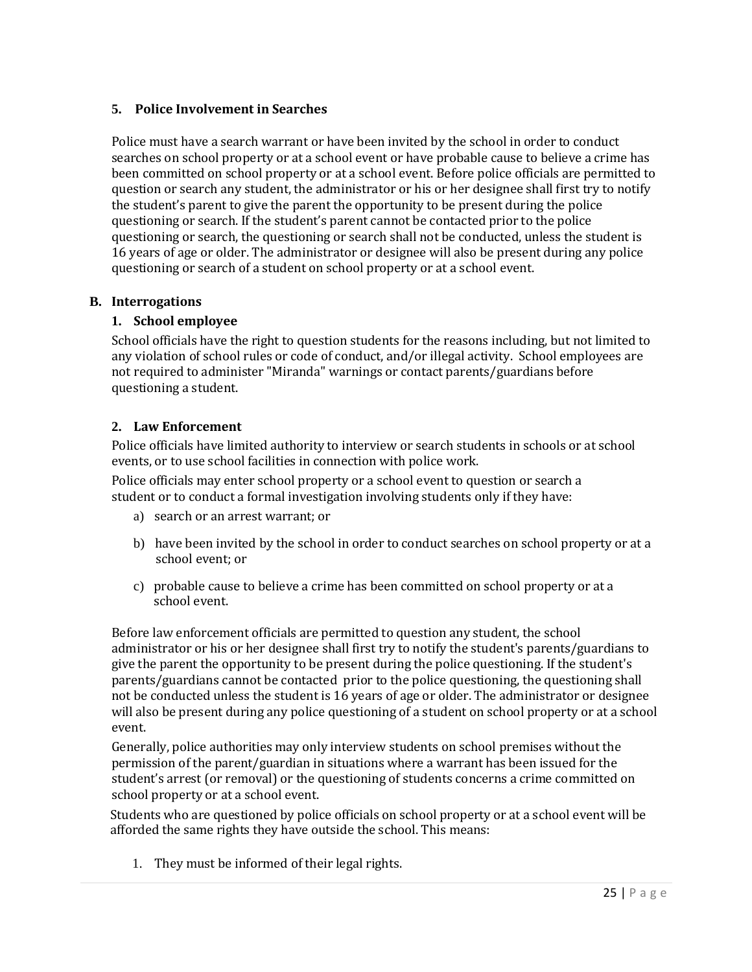### **5. Police Involvement in Searches**

Police must have a search warrant or have been invited by the school in order to conduct searches on school property or at a school event or have probable cause to believe a crime has been committed on school property or at a school event. Before police officials are permitted to question or search any student, the administrator or his or her designee shall first try to notify the student's parent to give the parent the opportunity to be present during the police questioning or search. If the student's parent cannot be contacted prior to the police questioning or search, the questioning or search shall not be conducted, unless the student is 16 years of age or older. The administrator or designee will also be present during any police questioning or search of a student on school property or at a school event.

### **B. Interrogations**

### **1. School employee**

School officials have the right to question students for the reasons including, but not limited to any violation of school rules or code of conduct, and/or illegal activity. School employees are not required to administer "Miranda" warnings or contact parents/guardians before questioning a student.

### **2. Law Enforcement**

Police officials have limited authority to interview or search students in schools or at school events, or to use school facilities in connection with police work.

Police officials may enter school property or a school event to question or search a student or to conduct a formal investigation involving students only if they have:

- a) search or an arrest warrant; or
- b) have been invited by the school in order to conduct searches on school property or at a school event; or
- c) probable cause to believe a crime has been committed on school property or at a school event.

Before law enforcement officials are permitted to question any student, the school administrator or his or her designee shall first try to notify the student's parents/guardians to give the parent the opportunity to be present during the police questioning. If the student's parents/guardians cannot be contacted prior to the police questioning, the questioning shall not be conducted unless the student is 16 years of age or older. The administrator or designee will also be present during any police questioning of a student on school property or at a school event.

Generally, police authorities may only interview students on school premises without the permission of the parent/guardian in situations where a warrant has been issued for the student's arrest (or removal) or the questioning of students concerns a crime committed on school property or at a school event.

Students who are questioned by police officials on school property or at a school event will be afforded the same rights they have outside the school. This means:

1. They must be informed of their legal rights.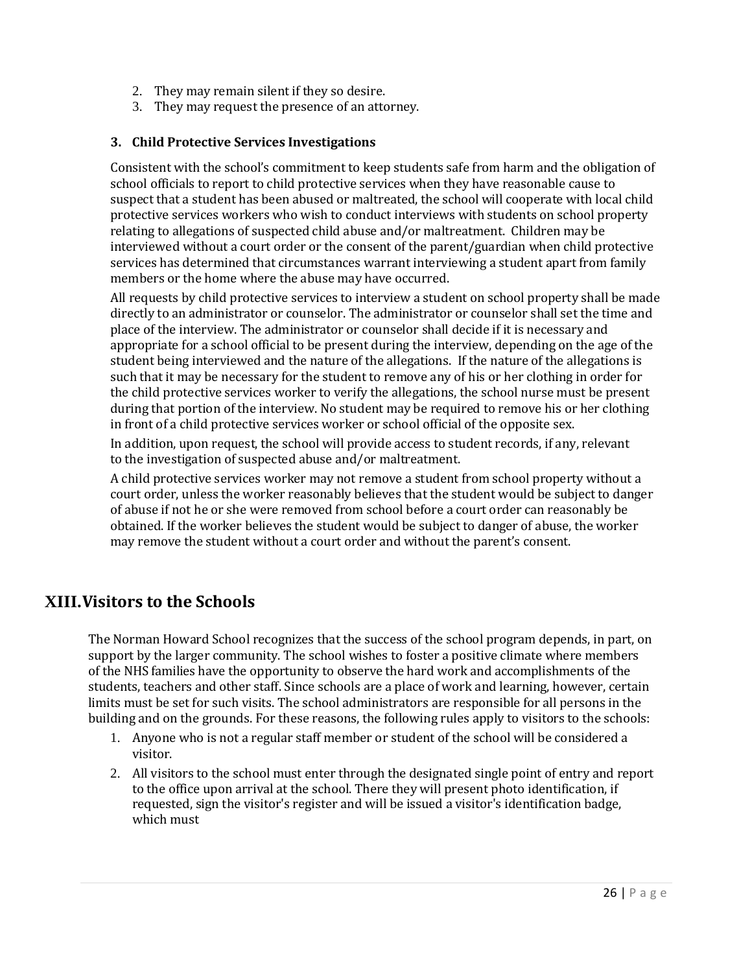- 2. They may remain silent if they so desire.
- 3. They may request the presence of an attorney.

### **3. Child Protective Services Investigations**

Consistent with the school's commitment to keep students safe from harm and the obligation of school officials to report to child protective services when they have reasonable cause to suspect that a student has been abused or maltreated, the school will cooperate with local child protective services workers who wish to conduct interviews with students on school property relating to allegations of suspected child abuse and/or maltreatment. Children may be interviewed without a court order or the consent of the parent/guardian when child protective services has determined that circumstances warrant interviewing a student apart from family members or the home where the abuse may have occurred.

All requests by child protective services to interview a student on school property shall be made directly to an administrator or counselor. The administrator or counselor shall set the time and place of the interview. The administrator or counselor shall decide if it is necessary and appropriate for a school official to be present during the interview, depending on the age of the student being interviewed and the nature of the allegations. If the nature of the allegations is such that it may be necessary for the student to remove any of his or her clothing in order for the child protective services worker to verify the allegations, the school nurse must be present during that portion of the interview. No student may be required to remove his or her clothing in front of a child protective services worker or school official of the opposite sex.

In addition, upon request, the school will provide access to student records, if any, relevant to the investigation of suspected abuse and/or maltreatment.

A child protective services worker may not remove a student from school property without a court order, unless the worker reasonably believes that the student would be subject to danger of abuse if not he or she were removed from school before a court order can reasonably be obtained. If the worker believes the student would be subject to danger of abuse, the worker may remove the student without a court order and without the parent's consent.

## **XIII.Visitors to the Schools**

The Norman Howard School recognizes that the success of the school program depends, in part, on support by the larger community. The school wishes to foster a positive climate where members of the NHS families have the opportunity to observe the hard work and accomplishments of the students, teachers and other staff. Since schools are a place of work and learning, however, certain limits must be set for such visits. The school administrators are responsible for all persons in the building and on the grounds. For these reasons, the following rules apply to visitors to the schools:

- 1. Anyone who is not a regular staff member or student of the school will be considered a visitor.
- 2. All visitors to the school must enter through the designated single point of entry and report to the office upon arrival at the school. There they will present photo identification, if requested, sign the visitor's register and will be issued a visitor's identification badge, which must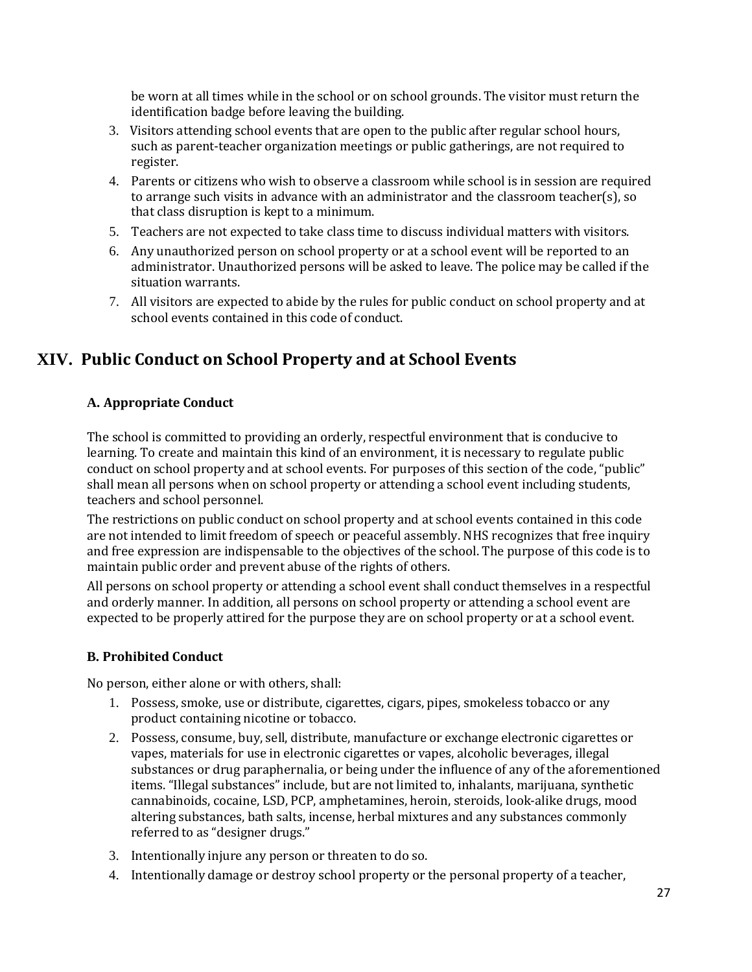be worn at all times while in the school or on school grounds. The visitor must return the identification badge before leaving the building.

- 3. Visitors attending school events that are open to the public after regular school hours, such as parent-teacher organization meetings or public gatherings, are not required to register.
- 4. Parents or citizens who wish to observe a classroom while school is in session are required to arrange such visits in advance with an administrator and the classroom teacher(s), so that class disruption is kept to a minimum.
- 5. Teachers are not expected to take class time to discuss individual matters with visitors.
- 6. Any unauthorized person on school property or at a school event will be reported to an administrator. Unauthorized persons will be asked to leave. The police may be called if the situation warrants.
- 7. All visitors are expected to abide by the rules for public conduct on school property and at school events contained in this code of conduct.

# **XIV. Public Conduct on School Property and at School Events**

### **A. Appropriate Conduct**

The school is committed to providing an orderly, respectful environment that is conducive to learning. To create and maintain this kind of an environment, it is necessary to regulate public conduct on school property and at school events. For purposes of this section of the code, "public" shall mean all persons when on school property or attending a school event including students, teachers and school personnel.

The restrictions on public conduct on school property and at school events contained in this code are not intended to limit freedom of speech or peaceful assembly. NHS recognizes that free inquiry and free expression are indispensable to the objectives of the school. The purpose of this code is to maintain public order and prevent abuse of the rights of others.

All persons on school property or attending a school event shall conduct themselves in a respectful and orderly manner. In addition, all persons on school property or attending a school event are expected to be properly attired for the purpose they are on school property or at a school event.

### **B. Prohibited Conduct**

No person, either alone or with others, shall:

- 1. Possess, smoke, use or distribute, cigarettes, cigars, pipes, smokeless tobacco or any product containing nicotine or tobacco.
- 2. Possess, consume, buy, sell, distribute, manufacture or exchange electronic cigarettes or vapes, materials for use in electronic cigarettes or vapes, alcoholic beverages, illegal substances or drug paraphernalia, or being under the influence of any of the aforementioned items. "Illegal substances" include, but are not limited to, inhalants, marijuana, synthetic cannabinoids, cocaine, LSD, PCP, amphetamines, heroin, steroids, look-alike drugs, mood altering substances, bath salts, incense, herbal mixtures and any substances commonly referred to as "designer drugs."
- 3. Intentionally injure any person or threaten to do so.
- 4. Intentionally damage or destroy school property or the personal property of a teacher,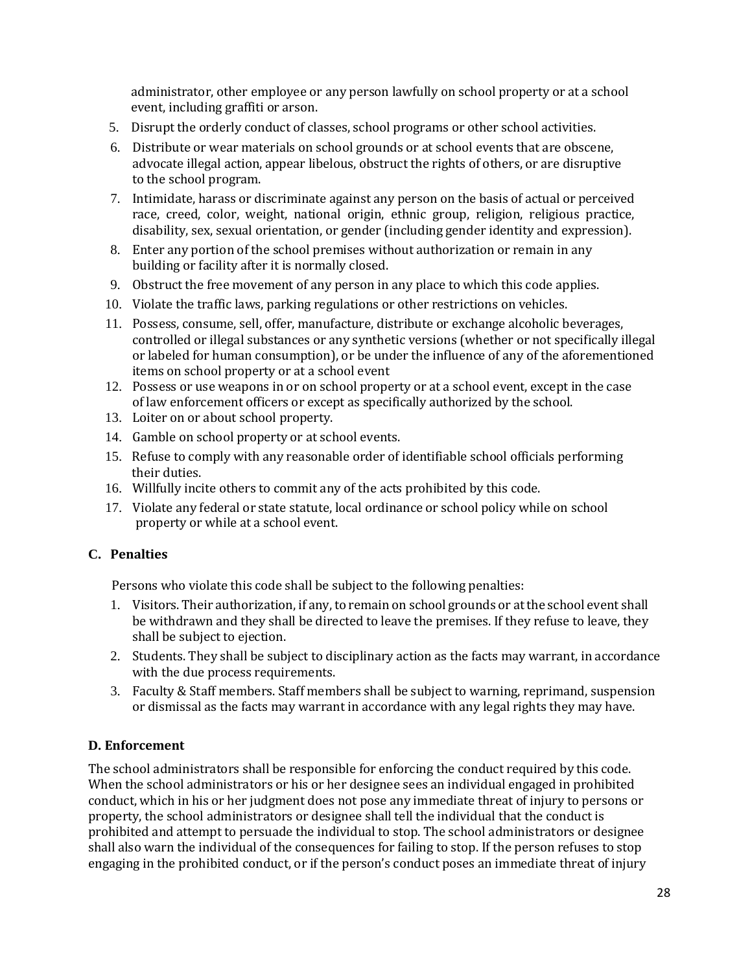administrator, other employee or any person lawfully on school property or at a school event, including graffiti or arson.

- 5. Disrupt the orderly conduct of classes, school programs or other school activities.
- 6. Distribute or wear materials on school grounds or at school events that are obscene, advocate illegal action, appear libelous, obstruct the rights of others, or are disruptive to the school program.
- 7. Intimidate, harass or discriminate against any person on the basis of actual or perceived race, creed, color, weight, national origin, ethnic group, religion, religious practice, disability, sex, sexual orientation, or gender (including gender identity and expression).
- 8. Enter any portion of the school premises without authorization or remain in any building or facility after it is normally closed.
- 9. Obstruct the free movement of any person in any place to which this code applies.
- 10. Violate the traffic laws, parking regulations or other restrictions on vehicles.
- 11. Possess, consume, sell, offer, manufacture, distribute or exchange alcoholic beverages, controlled or illegal substances or any synthetic versions (whether or not specifically illegal or labeled for human consumption), or be under the influence of any of the aforementioned items on school property or at a school event
- 12. Possess or use weapons in or on school property or at a school event, except in the case of law enforcement officers or except as specifically authorized by the school.
- 13. Loiter on or about school property.
- 14. Gamble on school property or at school events.
- 15. Refuse to comply with any reasonable order of identifiable school officials performing their duties.
- 16. Willfully incite others to commit any of the acts prohibited by this code.
- 17. Violate any federal or state statute, local ordinance or school policy while on school property or while at a school event.

### **C. Penalties**

Persons who violate this code shall be subject to the following penalties:

- 1. Visitors. Their authorization, if any, to remain on school grounds or atthe school event shall be withdrawn and they shall be directed to leave the premises. If they refuse to leave, they shall be subject to ejection.
- 2. Students. They shall be subject to disciplinary action as the facts may warrant, in accordance with the due process requirements.
- 3. Faculty & Staff members. Staff members shall be subject to warning, reprimand, suspension or dismissal as the facts may warrant in accordance with any legal rights they may have.

### **D. Enforcement**

The school administrators shall be responsible for enforcing the conduct required by this code. When the school administrators or his or her designee sees an individual engaged in prohibited conduct, which in his or her judgment does not pose any immediate threat of injury to persons or property, the school administrators or designee shall tell the individual that the conduct is prohibited and attempt to persuade the individual to stop. The school administrators or designee shall also warn the individual of the consequences for failing to stop. If the person refuses to stop engaging in the prohibited conduct, or if the person's conduct poses an immediate threat of injury